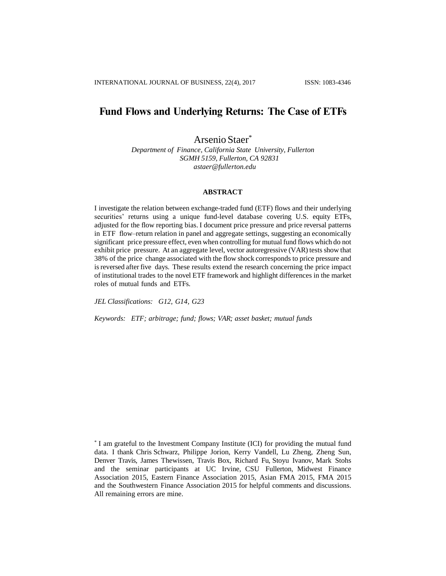# **Fund Flows and Underlying Returns: The Case of ETFs**

Arsenio Staer\*

*Department of Finance, California State University, Fullerton SGMH 5159, Fullerton, CA 92831 [astaer@fullerton.edu](mailto:astaer@fullerton.edu)*

# **ABSTRACT**

I investigate the relation between exchange-traded fund (ETF) flows and their underlying securities' returns using a unique fund-level database covering U.S. equity ETFs, adjusted for the flow reporting bias. I document price pressure and price reversal patterns in ETF flow–return relation in panel and aggregate settings, suggesting an economically significant price pressure effect, even when controlling for mutual fund flows which do not exhibit price pressure. At an aggregate level, vector autoregressive (VAR) tests show that 38% of the price change associated with the flow shock corresponds to price pressure and isreversed after five days. These results extend the research concerning the price impact of institutional trades to the novel ETF framework and highlight differences in the market roles of mutual funds and ETFs.

*JEL Classifications: G12, G14, G23*

*Keywords: ETF; arbitrage; fund; flows; VAR; asset basket; mutual funds*

<sup>\*</sup> I am grateful to the Investment Company Institute (ICI) for providing the mutual fund data. I thank Chris Schwarz, Philippe Jorion, Kerry Vandell, Lu Zheng, Zheng Sun, Denver Travis, James Thewissen, Travis Box, Richard Fu, Stoyu Ivanov, Mark Stohs and the seminar participants at UC Irvine, CSU Fullerton, Midwest Finance Association 2015, Eastern Finance Association 2015, Asian FMA 2015, FMA 2015 and the Southwestern Finance Association 2015 for helpful comments and discussions. All remaining errors are mine.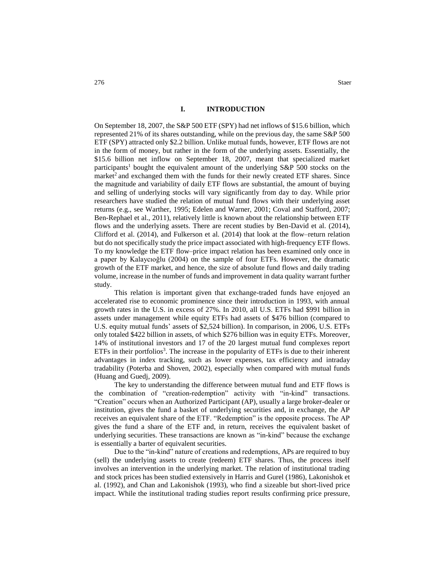On September 18, 2007, the S&P 500 ETF (SPY) had net inflows of \$15.6 billion, which represented 21% of its shares outstanding, while on the previous day, the same S&P 500 ETF (SPY) attracted only \$2.2 billion. Unlike mutual funds, however, ETF flows are not in the form of money, but rather in the form of the underlying assets. Essentially, the \$15.6 billion net inflow on September 18, 2007, meant that specialized market participants<sup>1</sup> bought the equivalent amount of the underlying  $S\&P$  500 stocks on the market<sup>2</sup> and exchanged them with the funds for their newly created ETF shares. Since the magnitude and variability of daily ETF flows are substantial, the amount of buying and selling of underlying stocks will vary significantly from day to day. While prior researchers have studied the relation of mutual fund flows with their underlying asset returns (e.g., see Warther, 1995; Edelen and Warner, 2001; Coval and Stafford, [2007;](#page-27-0) Ben-Rephael et al., [2011\)](#page-27-1), relatively little is known about the relationship between ETF flows and the underlying assets. There are recent studies by Ben-David et al. [\(2014\)](#page-27-2), Clifford et al. (2014), and Fulkerson et al. [\(2014\)](#page-28-0) that look at the flow–return relation but do not specifically study the price impact associated with high-frequency ETF flows. To my knowledge the ETF flow–price impact relation has been examined only once in a paper by Kalaycıoğlu [\(2004\)](#page-28-1) on the sample of four ETFs. However, the dramatic growth of the ETF market, and hence, the size of absolute fund flows and daily trading volume, increase in the number of funds and improvement in data quality warrant further study.

This relation is important given that exchange-traded funds have enjoyed an accelerated rise to economic prominence since their introduction in 1993, with annual growth rates in the U.S. in excess of 27%. In 2010, all U.S. ETFs had \$991 billion in assets under management while equity ETFs had assets of \$476 billion (compared to U.S. equity mutual funds' assets of \$2,524 billion). In comparison, in 2006, U.S. ETFs only totaled \$422 billion in assets, of which \$276 billion was in equity ETFs. Moreover, 14% of institutional investors and 17 of the 20 largest mutual fund complexes report ETFs in their portfolios<sup>3</sup>. The increase in the popularity of ETFs is due to their inherent advantages in index tracking, such as lower expenses, tax efficiency and intraday tradability (Poterba and Shoven, [2002\)](#page-28-2), especially when compared with mutual funds (Huang and Guedj, [2009\)](#page-28-3).

The key to understanding the difference between mutual fund and ETF flows is the combination of "creation-redemption" activity with "in-kind" transactions. "Creation" occurs when an Authorized Participant (AP), usually a large broker-dealer or institution, gives the fund a basket of underlying securities and, in exchange, the AP receives an equivalent share of the ETF. "Redemption" is the opposite process. The AP gives the fund a share of the ETF and, in return, receives the equivalent basket of underlying securities. These transactions are known as "in-kind" because the exchange is essentially a barter of equivalent securities.

Due to the "in-kind" nature of creations and redemptions, APs are required to buy (sell) the underlying assets to create (redeem) ETF shares. Thus, the process itself involves an intervention in the underlying market. The relation of institutional trading and stock prices has been studied extensively in Harris and Gurel [\(1986\)](#page-28-4), Lakonishok et al. [\(1992\)](#page-28-5), and Chan and Lakonishok [\(1993\)](#page-27-3), who find a sizeable but short-lived price impact. While the institutional trading studies report results confirming price pressure,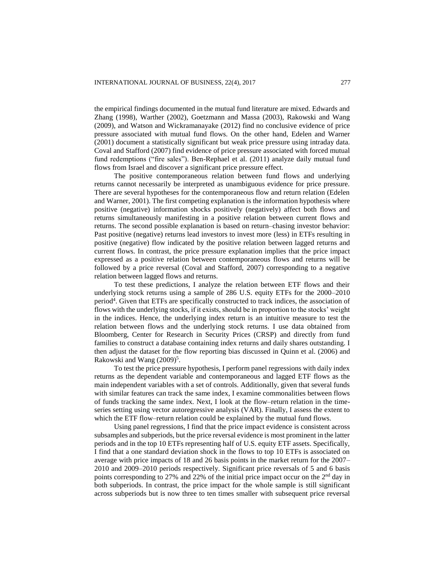the empirical findings documented in the mutual fund literature are mixed. Edwards and Zhang [\(1998\)](#page-27-4), Warther [\(2002\)](#page-29-0), Goetzmann and Massa [\(2003\)](#page-28-6), Rakowski and Wang [\(2009\)](#page-28-7), and Watson and Wickramanayake (2012) find no conclusive evidence of price pressure associated with mutual fund flows. On the other hand, Edelen and Warner (2001) document a statistically significant but weak price pressure using intraday data. Coval and Stafford [\(2007\)](#page-27-0) find evidence of price pressure associated with forced mutual fund redemptions ("fire sales"). Ben-Rephael et al. [\(2011\)](#page-27-1) analyze daily mutual fund flows from Israel and discover a significant price pressure effect.

The positive contemporaneous relation between fund flows and underlying returns cannot necessarily be interpreted as unambiguous evidence for price pressure. There are several hypotheses for the contemporaneous flow and return relation (Edelen and Warner, 2001). The first competing explanation is the information hypothesis where positive (negative) information shocks positively (negatively) affect both flows and returns simultaneously manifesting in a positive relation between current flows and returns. The second possible explanation is based on return–chasing investor behavior: Past positive (negative) returns lead investors to invest more (less) in ETFs resulting in positive (negative) flow indicated by the positive relation between lagged returns and current flows. In contrast, the price pressure explanation implies that the price impact expressed as a positive relation between contemporaneous flows and returns will be followed by a price reversal (Coval and Stafford, [2007\)](#page-27-0) corresponding to a negative relation between lagged flows and returns.

To test these predictions, I analyze the relation between ETF flows and their underlying stock returns using a sample of 286 U.S. equity ETFs for the 2000–2010 period<sup>4</sup>. Given that ETFs are specifically constructed to track indices, the association of flows with the underlying stocks, if it exists, should be in proportion to the stocks' weight in the indices. Hence, the underlying index return is an intuitive measure to test the relation between flows and the underlying stock returns. I use data obtained from Bloomberg, Center for Research in Security Prices (CRSP) and directly from fund families to construct a database containing index returns and daily shares outstanding. I then adjust the dataset for the flow reporting bias discussed in Quinn et al. (2006) and Rakowski and Wang [\(2009\)](#page-28-7)<sup>5</sup>.

To test the price pressure hypothesis, I perform panel regressions with daily index returns as the dependent variable and contemporaneous and lagged ETF flows as the main independent variables with a set of controls. Additionally, given that several funds with similar features can track the same index, I examine commonalities between flows of funds tracking the same index. Next, I look at the flow–return relation in the timeseries setting using vector autoregressive analysis (VAR). Finally, I assess the extent to which the ETF flow–return relation could be explained by the mutual fund flows.

Using panel regressions, I find that the price impact evidence is consistent across subsamples and subperiods, but the price reversal evidence is most prominent in the latter periods and in the top 10 ETFs representing half of U.S. equity ETF assets. Specifically, I find that a one standard deviation shock in the flows to top 10 ETFs is associated on average with price impacts of 18 and 26 basis points in the market return for the 2007– 2010 and 2009–2010 periods respectively. Significant price reversals of 5 and 6 basis points corresponding to 27% and 22% of the initial price impact occur on the  $2<sup>nd</sup>$  day in both subperiods. In contrast, the price impact for the whole sample is still significant across subperiods but is now three to ten times smaller with subsequent price reversal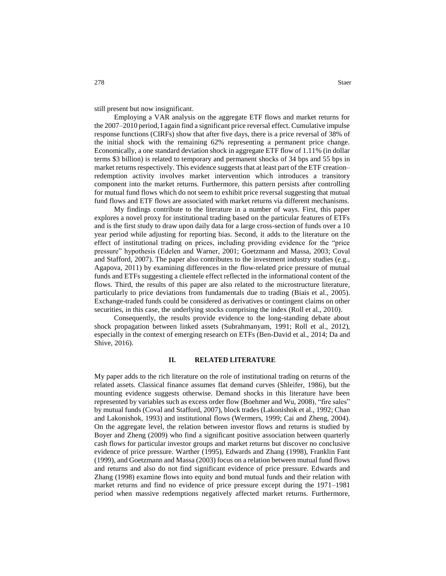still present but now insignificant.

Employing a VAR analysis on the aggregate ETF flows and market returns for the 2007–2010 period, I again find a significant price reversal effect. Cumulative impulse response functions (CIRFs) show that after five days, there is a price reversal of 38% of the initial shock with the remaining 62% representing a permanent price change. Economically, a one standard deviation shock in aggregate ETF flow of 1.11% (in dollar terms \$3 billion) is related to temporary and permanent shocks of 34 bps and 55 bps in market returns respectively. This evidence suggests that at least part of the ETF creation– redemption activity involves market intervention which introduces a transitory component into the market returns. Furthermore, this pattern persists after controlling for mutual fund flows which do not seem to exhibit price reversal suggesting that mutual fund flows and ETF flows are associated with market returns via different mechanisms.

My findings contribute to the literature in a number of ways. First, this paper explores a novel proxy for institutional trading based on the particular features of ETFs and is the first study to draw upon daily data for a large cross-section of funds over a 10 year period while adjusting for reporting bias. Second, it adds to the literature on the effect of institutional trading on prices, including providing evidence for the "price pressure" hypothesis (Edelen and Warner, 2001; Goetzmann and Massa, [2003;](#page-28-6) Coval and Stafford, [2007\)](#page-27-0). The paper also contributes to the investment industry studies (e.g., Agapova, [2011\)](#page-26-0) by examining differences in the flow-related price pressure of mutual funds and ETFs suggesting a clientele effect reflected in the informational content of the flows. Third, the results of this paper are also related to the microstructure literature, particularly to price deviations from fundamentals due to trading (Biais et al., [2005\)](#page-27-5). Exchange-traded funds could be considered as derivatives or contingent claims on other securities, in this case, the underlying stocks comprising the index (Roll et al., [2010\)](#page-29-1).

Consequently, the results provide evidence to the long-standing debate about shock propagation between linked assets (Subrahmanyam, [1991;](#page-29-2) Roll et al., [2012\)](#page-29-3), especially in the context of emerging research on ETFs (Ben-David et al.[, 2014;](#page-27-2) Da and Shive, [2016\)](#page-27-6).

# **II. RELATED LITERATURE**

My paper adds to the rich literature on the role of institutional trading on returns of the related assets. Classical finance assumes flat demand curves (Shleifer, [1986\)](#page-29-4), but the mounting evidence suggests otherwise. Demand shocks in this literature have been represented by variables such as excess order flow (Boehmer and Wu[, 2008\)](#page-27-7), "fire sales" by mutual funds (Coval and Stafford[, 2007\)](#page-27-0), block trades (Lakonishok et al.[, 1992;](#page-28-5) Chan and Lakonishok, [1993\)](#page-27-3) and institutional flows (Wermers, [1999;](#page-29-5) Cai and Zheng, [2004\)](#page-27-8). On the aggregate level, the relation between investor flows and returns is studied by Boyer and Zheng [\(2009\)](#page-27-9) who find a significant positive association between quarterly cash flows for particular investor groups and market returns but discover no conclusive evidence of price pressure. Warther (1995), Edwards and Zhang [\(1998\)](#page-27-4), Franklin Fant [\(1999\)](#page-27-10), and Goetzmann and Massa [\(2003\)](#page-28-6) focus on a relation between mutual fund flows and returns and also do not find significant evidence of price pressure. Edwards and Zhang [\(1998\)](#page-27-4) examine flows into equity and bond mutual funds and their relation with market returns and find no evidence of price pressure except during the 1971–1981 period when massive redemptions negatively affected market returns. Furthermore,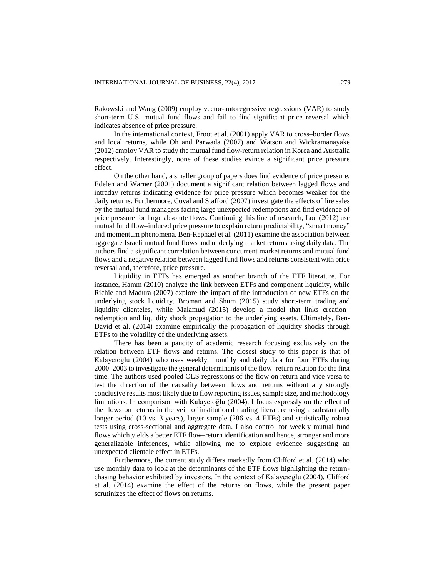Rakowski and Wang [\(2009\)](#page-28-7) employ vector-autoregressive regressions (VAR) to study short-term U.S. mutual fund flows and fail to find significant price reversal which indicates absence of price pressure.

In the international context, Froot et al. [\(2001\)](#page-28-8) apply VAR to cross–border flows and local returns, while Oh and Parwada [\(2007\)](#page-28-9) and Watson and Wickramanayake (2012) employ VAR to study the mutual fund flow-return relation in Korea and Australia respectively. Interestingly, none of these studies evince a significant price pressure effect.

On the other hand, a smaller group of papers does find evidence of price pressure. Edelen and Warner (2001) document a significant relation between lagged flows and intraday returns indicating evidence for price pressure which becomes weaker for the daily returns. Furthermore, Coval and Stafford [\(2007\)](#page-27-0) investigate the effects of fire sales by the mutual fund managers facing large unexpected redemptions and find evidence of price pressure for large absolute flows. Continuing this line of research, Lou [\(2012\)](#page-28-10) use mutual fund flow–induced price pressure to explain return predictability, "smart money" and momentum phenomena. Ben-Rephael et al. [\(2011\)](#page-27-1) examine the association between aggregate Israeli mutual fund flows and underlying market returns using daily data. The authors find a significant correlation between concurrent market returns and mutual fund flows and a negative relation between lagged fund flows and returns consistent with price reversal and, therefore, price pressure.

Liquidity in ETFs has emerged as another branch of the ETF literature. For instance, Hamm [\(2010\)](#page-28-11) analyze the link between ETFs and component liquidity, while Richie and Madura [\(2007\)](#page-29-6) explore the impact of the introduction of new ETFs on the underlying stock liquidity. Broman and Shum [\(2015\)](#page-27-11) study short-term trading and liquidity clienteles, while Malamud [\(2015\)](#page-28-12) develop a model that links creation– redemption and liquidity shock propagation to the underlying assets. Ultimately, Ben-David et al. [\(2014\)](#page-27-2) examine empirically the propagation of liquidity shocks through ETFs to the volatility of the underlying assets.

There has been a paucity of academic research focusing exclusively on the relation between ETF flows and returns. The closest study to this paper is that of Kalaycıoğlu [\(2004\)](#page-28-1) who uses weekly, monthly and daily data for four ETFs during 2000–2003 to investigate the general determinants of the flow–return relation for the first time. The authors used pooled OLS regressions of the flow on return and vice versa to test the direction of the causality between flows and returns without any strongly conclusive results most likely due to flow reporting issues, sample size, and methodology limitations. In comparison with Kalaycıoğlu [\(2004\)](#page-28-1), I focus expressly on the effect of the flows on returns in the vein of institutional trading literature using a substantially longer period (10 vs. 3 years), larger sample (286 vs. 4 ETFs) and statistically robust tests using cross-sectional and aggregate data. I also control for weekly mutual fund flows which yields a better ETF flow–return identification and hence, stronger and more generalizable inferences, while allowing me to explore evidence suggesting an unexpected clientele effect in ETFs.

Furthermore, the current study differs markedly from Clifford et al. (2014) who use monthly data to look at the determinants of the ETF flows highlighting the returnchasing behavior exhibited by investors. In the context of Kalaycıoğlu [\(2004\)](#page-28-1), Clifford et al. (2014) examine the effect of the returns on flows, while the present paper scrutinizes the effect of flows on returns.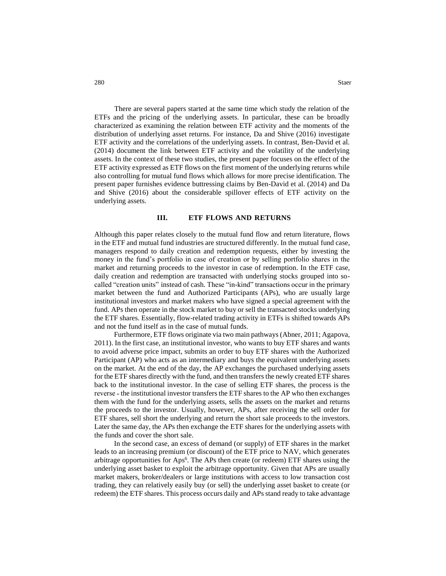There are several papers started at the same time which study the relation of the ETFs and the pricing of the underlying assets. In particular, these can be broadly characterized as examining the relation between ETF activity and the moments of the distribution of underlying asset returns. For instance, Da and Shive [\(2016\)](#page-27-6) investigate ETF activity and the correlations of the underlying assets. In contrast, Ben-David et al. [\(2014\)](#page-27-2) document the link between ETF activity and the volatility of the underlying assets. In the context of these two studies, the present paper focuses on the effect of the ETF activity expressed as ETF flows on the first moment of the underlying returns while also controlling for mutual fund flows which allows for more precise identification. The present paper furnishes evidence buttressing claims by Ben-David et al. [\(2014\)](#page-27-2) and Da and Shive [\(2016\)](#page-27-6) about the considerable spillover effects of ETF activity on the underlying assets.

# **III. ETF FLOWS AND RETURNS**

Although this paper relates closely to the mutual fund flow and return literature, flows in the ETF and mutual fund industries are structured differently. In the mutual fund case, managers respond to daily creation and redemption requests, either by investing the money in the fund's portfolio in case of creation or by selling portfolio shares in the market and returning proceeds to the investor in case of redemption. In the ETF case, daily creation and redemption are transacted with underlying stocks grouped into socalled "creation units" instead of cash. These "in-kind" transactions occur in the primary market between the fund and Authorized Participants (APs), who are usually large institutional investors and market makers who have signed a special agreement with the fund. APs then operate in the stock market to buy or sell the transacted stocks underlying the ETF shares. Essentially, flow-related trading activity in ETFs is shifted towards APs and not the fund itself as in the case of mutual funds.

Furthermore, ETF flows originate via two main pathways (Abner[, 2011;](#page-26-1) Agapova, [2011\)](#page-26-0). In the first case, an institutional investor, who wants to buy ETF shares and wants to avoid adverse price impact, submits an order to buy ETF shares with the Authorized Participant (AP) who acts as an intermediary and buys the equivalent underlying assets on the market. At the end of the day, the AP exchanges the purchased underlying assets for the ETF shares directly with the fund, and then transfers the newly created ETF shares back to the institutional investor. In the case of selling ETF shares, the process is the reverse – the institutional investor transfers the ETF shares to the AP who then exchanges them with the fund for the underlying assets, sells the assets on the market and returns the proceeds to the investor. Usually, however, APs, after receiving the sell order for ETF shares, sell short the underlying and return the short sale proceeds to the investors. Later the same day, the APs then exchange the ETF shares for the underlying assets with the funds and cover the short sale.

In the second case, an excess of demand (or supply) of ETF shares in the market leads to an increasing premium (or discount) of the ETF price to NAV, which generates arbitrage opportunities for Aps<sup>6</sup>. The APs then create (or redeem) ETF shares using the underlying asset basket to exploit the arbitrage opportunity. Given that APs are usually market makers, broker/dealers or large institutions with access to low transaction cost trading, they can relatively easily buy (or sell) the underlying asset basket to create (or redeem) the ETF shares. This process occurs daily and APs stand ready to take advantage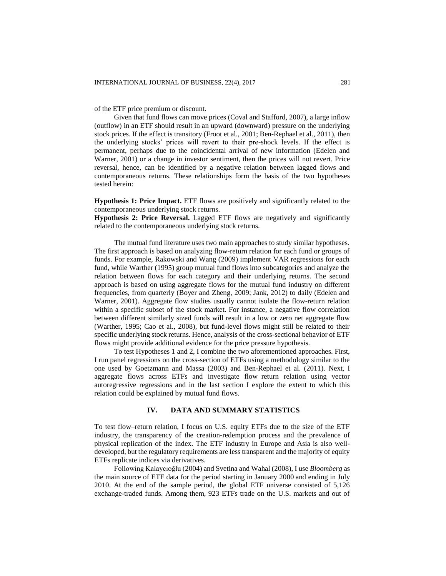of the ETF price premium or discount.

Given that fund flows can move prices (Coval and Stafford, [2007\)](#page-27-0), a large inflow (outflow) in an ETF should result in an upward (downward) pressure on the underlying stock prices. If the effect is transitory (Froot et al.[, 2001;](#page-28-8) Ben-Rephael et al., [2011\)](#page-27-1), then the underlying stocks' prices will revert to their pre-shock levels. If the effect is permanent, perhaps due to the coincidental arrival of new information (Edelen and Warner, 2001) or a change in investor sentiment, then the prices will not revert. Price reversal, hence, can be identified by a negative relation between lagged flows and contemporaneous returns. These relationships form the basis of the two hypotheses tested herein:

<span id="page-6-0"></span>**Hypothesis 1: Price Impact.** ETF flows are positively and significantly related to the contemporaneous underlying stock returns.

<span id="page-6-1"></span>**Hypothesis 2: Price Reversal.** Lagged ETF flows are negatively and significantly related to the contemporaneous underlying stock returns.

The mutual fund literature uses two main approaches to study similar hypotheses. The first approach is based on analyzing flow-return relation for each fund or groups of funds. For example, Rakowski and Wang [\(2009\)](#page-28-7) implement VAR regressions for each fund, while Warther (1995) group mutual fund flows into subcategories and analyze the relation between flows for each category and their underlying returns. The second approach is based on using aggregate flows for the mutual fund industry on different frequencies, from quarterly (Boyer and Zheng, [2009;](#page-27-9) Jank, [2012\)](#page-28-13) to daily (Edelen and Warner, 2001). Aggregate flow studies usually cannot isolate the flow-return relation within a specific subset of the stock market. For instance, a negative flow correlation between different similarly sized funds will result in a low or zero net aggregate flow (Warther, 1995; Cao et al., [2008\)](#page-27-12), but fund-level flows might still be related to their specific underlying stock returns. Hence, analysis of the cross-sectional behavior of ETF flows might provide additional evidence for the price pressure hypothesis.

To test Hypothese[s 1](#page-6-0) and [2,](#page-6-1) I combine the two aforementioned approaches. First, I run panel regressions on the cross-section of ETFs using a methodology similar to the one used by Goetzmann and Massa [\(2003\)](#page-28-6) and Ben-Rephael et al. [\(2011\)](#page-27-1). Next, I aggregate flows across ETFs and investigate flow–return relation using vector autoregressive regressions and in the last section I explore the extent to which this relation could be explained by mutual fund flows.

# **IV. DATA AND SUMMARY STATISTICS**

<span id="page-6-2"></span>To test flow–return relation, I focus on U.S. equity ETFs due to the size of the ETF industry, the transparency of the creation-redemption process and the prevalence of physical replication of the index. The ETF industry in Europe and Asia is also welldeveloped, but the regulatory requirements are less transparent and the majority of equity ETFs replicate indices via derivatives.

Following Kalaycıoğlu [\(2004\)](#page-28-1) and Svetina and Wahal [\(2008\)](#page-29-7), I use *Bloomberg* as the main source of ETF data for the period starting in January 2000 and ending in July 2010. At the end of the sample period, the global ETF universe consisted of 5,126 exchange-traded funds. Among them, 923 ETFs trade on the U.S. markets and out of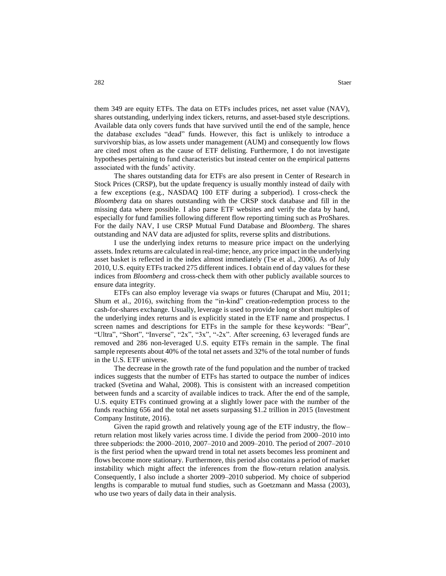them 349 are equity ETFs. The data on ETFs includes prices, net asset value (NAV), shares outstanding, underlying index tickers, returns, and asset-based style descriptions. Available data only covers funds that have survived until the end of the sample, hence the database excludes "dead" funds. However, this fact is unlikely to introduce a survivorship bias, as low assets under management (AUM) and consequently low flows are cited most often as the cause of ETF delisting. Furthermore, I do not investigate hypotheses pertaining to fund characteristics but instead center on the empirical patterns

The shares outstanding data for ETFs are also present in Center of Research in Stock Prices (CRSP), but the update frequency is usually monthly instead of daily with a few exceptions (e.g., NASDAQ 100 ETF during a subperiod). I cross-check the *Bloomberg* data on shares outstanding with the CRSP stock database and fill in the missing data where possible. I also parse ETF websites and verify the data by hand, especially for fund families following different flow reporting timing such as ProShares. For the daily NAV, I use CRSP Mutual Fund Database and *Bloomberg*. The shares outstanding and NAV data are adjusted for splits, reverse splits and distributions.

I use the underlying index returns to measure price impact on the underlying assets. Index returns are calculated in real-time; hence, any price impact in the underlying asset basket is reflected in the index almost immediately (Tse et al., 2006). As of July 2010, U.S. equity ETFs tracked 275 different indices. I obtain end of day values for these indices from *Bloomberg* and cross-check them with other publicly available sources to ensure data integrity.

ETFs can also employ leverage via swaps or futures (Charupat and Miu, [2011;](#page-27-13) Shum et al., [2016\)](#page-29-8), switching from the "in-kind" creation-redemption process to the cash-for-shares exchange. Usually, leverage is used to provide long or short multiples of the underlying index returns and is explicitly stated in the ETF name and prospectus. I screen names and descriptions for ETFs in the sample for these keywords: "Bear", "Ultra", "Short", "Inverse", "2x", "3x", "-2x". After screening, 63 leveraged funds are removed and 286 non-leveraged U.S. equity ETFs remain in the sample. The final sample represents about 40% of the total net assets and 32% of the total number of funds in the U.S. ETF universe.

The decrease in the growth rate of the fund population and the number of tracked indices suggests that the number of ETFs has started to outpace the number of indices tracked (Svetina and Wahal, [2008\)](#page-29-7). This is consistent with an increased competition between funds and a scarcity of available indices to track. After the end of the sample, U.S. equity ETFs continued growing at a slightly lower pace with the number of the funds reaching 656 and the total net assets surpassing \$1.2 trillion in 2015 (Investment Company Institute, [2016\)](#page-28-14).

Given the rapid growth and relatively young age of the ETF industry, the flow– return relation most likely varies across time. I divide the period from 2000–2010 into three subperiods: the 2000–2010, 2007–2010 and 2009–2010. The period of 2007–2010 is the first period when the upward trend in total net assets becomes less prominent and flows become more stationary. Furthermore, this period also contains a period of market instability which might affect the inferences from the flow-return relation analysis. Consequently, I also include a shorter 2009–2010 subperiod. My choice of subperiod lengths is comparable to mutual fund studies, such as Goetzmann and Massa [\(2003\)](#page-28-6), who use two years of daily data in their analysis.

associated with the funds' activity.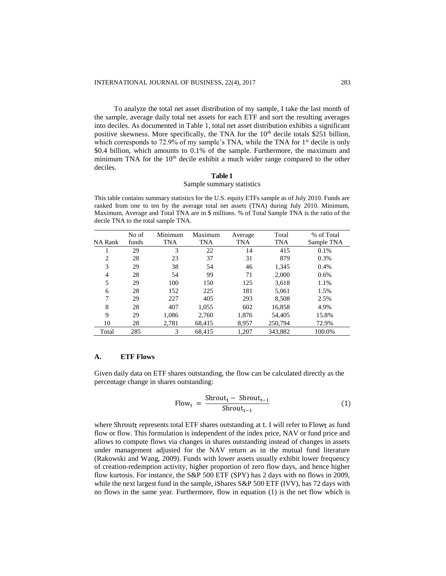To analyze the total net asset distribution of my sample, I take the last month of the sample, average daily total net assets for each ETF and sort the resulting averages into deciles. As documented in Table 1, total net asset distribution exhibits a significant positive skewness. More specifically, the TNA for the  $10<sup>th</sup>$  decile totals \$251 billion, which corresponds to  $72.9\%$  of my sample's TNA, while the TNA for  $1<sup>st</sup>$  decile is only \$0.4 billion, which amounts to 0.1% of the sample. Furthermore, the maximum and minimum TNA for the  $10<sup>th</sup>$  decile exhibit a much wider range compared to the other deciles.

# **Table 1**

## Sample summary statistics

This table contains summary statistics for the U.S. equity ETFs sample as of July 2010. Funds are ranked from one to ten by the average total net assets (TNA) during July 2010. Minimum, Maximum, Average and Total TNA are in \$ millions. % of Total Sample TNA is the ratio of the decile TNA to the total sample TNA.

|         | No of | Minimum    | Maximum | Average    | Total      | % of Total |
|---------|-------|------------|---------|------------|------------|------------|
| NA Rank | funds | <b>TNA</b> | TNA     | <b>TNA</b> | <b>TNA</b> | Sample TNA |
|         | 29    | 3          | 22      | 14         | 415        | 0.1%       |
| 2       | 28    | 23         | 37      | 31         | 879        | 0.3%       |
| 3       | 29    | 38         | 54      | 46         | 1.345      | 0.4%       |
| 4       | 28    | 54         | 99      | 71         | 2,000      | 0.6%       |
| 5       | 29    | 100        | 150     | 125        | 3,618      | 1.1%       |
| 6       | 28    | 152        | 225     | 181        | 5.061      | 1.5%       |
| 7       | 29    | 227        | 405     | 293        | 8,508      | 2.5%       |
| 8       | 28    | 407        | 1.055   | 602        | 16,858     | 4.9%       |
| 9       | 29    | 1.086      | 2.760   | 1.876      | 54.405     | 15.8%      |
| 10      | 28    | 2,781      | 68,415  | 8,957      | 250,794    | 72.9%      |
| Total   | 285   | 3          | 68.415  | 1,207      | 343.882    | 100.0%     |

# <span id="page-8-0"></span>**A. ETF Flows**

Given daily data on ETF shares outstanding, the flow can be calculated directly as the percentage change in shares outstanding:

$$
Flow_t = \frac{Shrout_t - Shrout_{t-1}}{Shrout_{t-1}}
$$
 (1)

where Shroutt represents total ETF shares outstanding at t. I will refer to Flowt as fund flow or flow. This formulation is independent of the index price, NAV or fund price and allows to compute flows via changes in shares outstanding instead of changes in assets under management adjusted for the NAV return as in the mutual fund literature (Rakowski and Wang, [2009\)](#page-28-7). Funds with lower assets usually exhibit lower frequency of creation-redemption activity, higher proportion of zero flow days, and hence higher flow kurtosis. For instance, the S&P 500 ETF (SPY) has 2 days with no flows in 2009, while the next largest fund in the sample, iShares S&P 500 ETF (IVV), has 72 days with no flows in the same year. Furthermore, flow in equation (1) is the net flow which is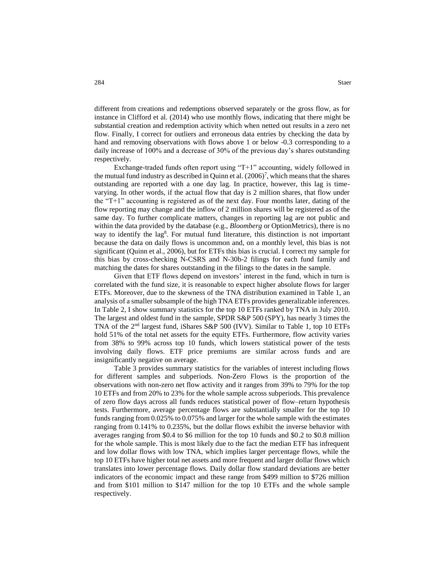different from creations and redemptions observed separately or the gross flow, as for instance in Clifford et al. (2014) who use monthly flows, indicating that there might be substantial creation and redemption activity which when netted out results in a zero net flow. Finally, I correct for outliers and erroneous data entries by checking the data by hand and removing observations with flows above 1 or below -0.3 corresponding to a daily increase of 100% and a decrease of 30% of the previous day's shares outstanding respectively.

Exchange-traded funds often report using "T+1" accounting, widely followed in the mutual fund industry as described in Quinn et al.  $(2006)^7$ , which means that the shares outstanding are reported with a one day lag. In practice, however, this lag is timevarying. In other words, if the actual flow that day is 2 million shares, that flow under the "T+1" accounting is registered as of the next day. Four months later, dating of the flow reporting may change and the inflow of 2 million shares will be registered as of the same day. To further complicate matters, changes in reporting lag are not public and within the data provided by the database (e.g., *Bloomberg* or OptionMetrics), there is no way to identify the lag<sup>8</sup>. For mutual fund literature, this distinction is not important because the data on daily flows is uncommon and, on a monthly level, this bias is not significant (Quinn et al., 2006), but for ETFs this bias is crucial. I correct my sample for this bias by cross-checking N-CSRS and N-30b-2 filings for each fund family and matching the dates for shares outstanding in the filings to the dates in the sample.

Given that ETF flows depend on investors' interest in the fund, which in turn is correlated with the fund size, it is reasonable to expect higher absolute flows for larger ETFs. Moreover, due to the skewness of the TNA distribution examined in Table 1, an analysis of a smaller subsample of the high TNA ETFs provides generalizable inferences. In Table 2, I show summary statistics for the top 10 ETFs ranked by TNA in July 2010. The largest and oldest fund in the sample, SPDR S&P 500 (SPY), has nearly 3 times the TNA of the 2<sup>nd</sup> largest fund, iShares S&P 500 (IVV). Similar to Table 1, top 10 ETFs hold 51% of the total net assets for the equity ETFs. Furthermore, flow activity varies from 38% to 99% across top 10 funds, which lowers statistical power of the tests involving daily flows. ETF price premiums are similar across funds and are insignificantly negative on average.

Table 3 provides summary statistics for the variables of interest including flows for different samples and subperiods. Non-Zero Flows is the proportion of the observations with non-zero net flow activity and it ranges from 39% to 79% for the top 10 ETFs and from 20% to 23% for the whole sample across subperiods. This prevalence of zero flow days across all funds reduces statistical power of flow–return hypothesis tests. Furthermore, average percentage flows are substantially smaller for the top 10 funds ranging from 0.025% to 0.075% and larger for the whole sample with the estimates ranging from 0.141% to 0.235%, but the dollar flows exhibit the inverse behavior with averages ranging from \$0.4 to \$6 million for the top 10 funds and \$0.2 to \$0.8 million for the whole sample. This is most likely due to the fact the median ETF has infrequent and low dollar flows with low TNA, which implies larger percentage flows, while the top 10 ETFs have higher total net assets and more frequent and larger dollar flows which translates into lower percentage flows. Daily dollar flow standard deviations are better indicators of the economic impact and these range from \$499 million to \$726 million and from \$101 million to \$147 million for the top 10 ETFs and the whole sample respectively.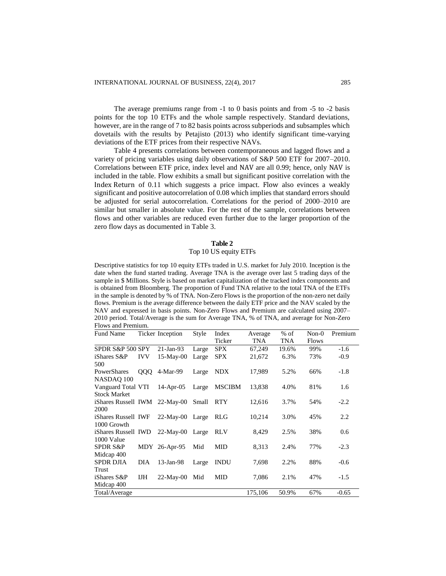The average premiums range from -1 to 0 basis points and from -5 to -2 basis points for the top 10 ETFs and the whole sample respectively. Standard deviations, however, are in the range of 7 to 82 basis points across subperiods and subsamples which dovetails with the results by Petajisto [\(2013\)](#page-28-15) who identify significant time-varying deviations of the ETF prices from their respective NAVs.

Table [4](#page-12-0) presents correlations between contemporaneous and lagged flows and a variety of pricing variables using daily observations of S&P 500 ETF for 2007–2010. Correlations between ETF price, index level and NAV are all 0.99; hence, only NAV is included in the table. Flow exhibits a small but significant positive correlation with the Index Return of 0.11 which suggests a price impact. Flow also evinces a weakly significant and positive autocorrelation of 0.08 which implies that standard errors should be adjusted for serial autocorrelation. Correlations for the period of 2000–2010 are similar but smaller in absolute value. For the rest of the sample, correlations between flows and other variables are reduced even further due to the larger proportion of the zero flow days as documented in Table 3.

#### **Table 2**

# Top 10 US equity ETFs

Descriptive statistics for top 10 equity ETFs traded in U.S. market for July 2010. Inception is the date when the fund started trading. Average TNA is the average over last 5 trading days of the sample in \$ Millions. Style is based on market capitalization of the tracked index components and is obtained from Bloomberg. The proportion of Fund TNA relative to the total TNA of the ETFs in the sample is denoted by % of TNA. Non-Zero Flows is the proportion of the non-zero net daily flows. Premium is the average difference between the daily ETF price and the NAV scaled by the NAV and expressed in basis points. Non-Zero Flows and Premium are calculated using 2007– 2010 period. Total/Average is the sum for Average TNA, % of TNA, and average for Non-Zero Flows and Premium.

| <b>Fund Name</b>              |            | Ticker Inception | Style | Index         | Average | $%$ of     | $Non-0$      | Premium |
|-------------------------------|------------|------------------|-------|---------------|---------|------------|--------------|---------|
|                               |            |                  |       | Ticker        | TNA     | <b>TNA</b> | <b>Flows</b> |         |
| SPDR S&P 500 SPY              |            | $21$ -Jan-93     | Large | <b>SPX</b>    | 67,249  | 19.6%      | 99%          | $-1.6$  |
| iShares S&P                   | <b>IVV</b> | $15-Mav-00$      | Large | SPX.          | 21,672  | 6.3%       | 73%          | $-0.9$  |
| 500                           |            |                  |       |               |         |            |              |         |
| PowerShares                   | QQQ        | 4-Mar-99         | Large | <b>NDX</b>    | 17,989  | 5.2%       | 66%          | $-1.8$  |
| NASDAO 100                    |            |                  |       |               |         |            |              |         |
| Vanguard Total VTI            |            | $14$ -Apr-05     | Large | <b>MSCIBM</b> | 13,838  | 4.0%       | 81%          | 1.6     |
| <b>Stock Market</b>           |            |                  |       |               |         |            |              |         |
| iShares Russell IWM 22-May-00 |            |                  | Small | <b>RTY</b>    | 12,616  | 3.7%       | 54%          | $-2.2$  |
| 2000                          |            |                  |       |               |         |            |              |         |
| iShares Russell IWF           |            | 22-May-00 Large  |       | RLG           | 10,214  | 3.0%       | 45%          | 2.2     |
| 1000 Growth                   |            |                  |       |               |         |            |              |         |
| iShares Russell IWD           |            | 22-May-00        | Large | <b>RLV</b>    | 8,429   | 2.5%       | 38%          | 0.6     |
| 1000 Value                    |            |                  |       |               |         |            |              |         |
| <b>SPDR S&amp;P</b>           |            | $MDY$ 26-Apr-95  | Mid   | MID           | 8,313   | 2.4%       | 77%          | $-2.3$  |
| Midcap 400                    |            |                  |       |               |         |            |              |         |
| <b>SPDR DJIA</b>              | DIA        | $13$ -Jan-98     | Large | <b>INDU</b>   | 7,698   | 2.2%       | 88%          | $-0.6$  |
| Trust                         |            |                  |       |               |         |            |              |         |
| iShares S&P                   | <b>IJH</b> | $22-Mav-00$      | Mid   | MID           | 7,086   | 2.1%       | 47%          | $-1.5$  |
| Midcap 400                    |            |                  |       |               |         |            |              |         |
| Total/Average                 |            |                  |       |               | 175,106 | 50.9%      | 67%          | $-0.65$ |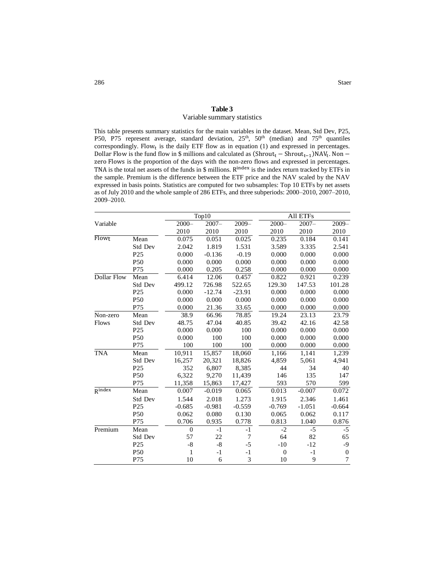# **Table 3** Variable summary statistics

This table presents summary statistics for the main variables in the dataset. Mean, Std Dev, P25, P50, P75 represent average, standard deviation, 25<sup>th</sup>, 50<sup>th</sup> (median) and 75<sup>th</sup> quantiles correspondingly. Flow<sub>t</sub> is the daily ETF flow as in equation  $(1)$  and expressed in percentages. Dollar Flow is the fund flow in \$ millions and calculated as  $(Short_t - Short_{t-1})NAV_t$ . Non – zero Flows is the proportion of the days with the non-zero flows and expressed in percentages. TNA is the total net assets of the funds in \$ millions. R<sup>index</sup> is the index return tracked by ETFs in the sample. Premium is the difference between the ETF price and the NAV scaled by the NAV expressed in basis points. Statistics are computed for two subsamples: Top 10 ETFs by net assets as of July 2010 and the whole sample of 286 ETFs, and three subperiods: 2000–2010, 2007–2010, 2009–2010.

|                      |                 |              | Top10    |                | All ETFs     |          |                |  |
|----------------------|-----------------|--------------|----------|----------------|--------------|----------|----------------|--|
| Variable             |                 | $2000 -$     | $2007 -$ | $2009 -$       | $2000 -$     | $2007 -$ | $2009 -$       |  |
|                      |                 | 2010         | 2010     | 2010           | 2010         | 2010     | 2010           |  |
| Flowt                | Mean            | 0.075        | 0.051    | 0.025          | 0.235        | 0.184    | 0.141          |  |
|                      | Std Dev         | 2.042        | 1.819    | 1.531          | 3.589        | 3.335    | 2.541          |  |
|                      | P <sub>25</sub> | 0.000        | $-0.136$ | $-0.19$        | 0.000        | 0.000    | 0.000          |  |
|                      | P50             | 0.000        | 0.000    | 0.000          | 0.000        | 0.000    | 0.000          |  |
|                      | P75             | 0.000        | 0.205    | 0.258          | 0.000        | 0.000    | 0.000          |  |
| <b>Dollar Flow</b>   | Mean            | 6.414        | 12.06    | 0.457          | 0.822        | 0.921    | 0.239          |  |
|                      | Std Dev         | 499.12       | 726.98   | 522.65         | 129.30       | 147.53   | 101.28         |  |
|                      | P <sub>25</sub> | 0.000        | $-12.74$ | $-23.91$       | 0.000        | 0.000    | 0.000          |  |
|                      | P <sub>50</sub> | 0.000        | 0.000    | 0.000          | 0.000        | 0.000    | 0.000          |  |
|                      | P75             | 0.000        | 21.36    | 33.65          | 0.000        | 0.000    | 0.000          |  |
| Non-zero             | Mean            | 38.9         | 66.96    | 78.85          | 19.24        | 23.13    | 23.79          |  |
| <b>Flows</b>         | Std Dev         | 48.75        | 47.04    | 40.85          | 39.42        | 42.16    | 42.58          |  |
|                      | P <sub>25</sub> | 0.000        | 0.000    | 100            | 0.000        | 0.000    | 0.000          |  |
|                      | P <sub>50</sub> | 0.000        | 100      | 100            | 0.000        | 0.000    | 0.000          |  |
|                      | P75             | 100          | 100      | 100            | 0.000        | 0.000    | 0.000          |  |
| <b>TNA</b>           | Mean            | 10,911       | 15,857   | 18,060         | 1,166        | 1,141    | 1,239          |  |
|                      | Std Dev         | 16,257       | 20,321   | 18,826         | 4,859        | 5,061    | 4,941          |  |
|                      | P <sub>25</sub> | 352          | 6,807    | 8,385          | 44           | 34       | 40             |  |
|                      | P50             | 6,322        | 9,270    | 11,439         | 146          | 135      | 147            |  |
|                      | P75             | 11,358       | 15,863   | 17,427         | 593          | 570      | 599            |  |
| $\overline{R}$ index | Mean            | 0.007        | $-0.019$ | 0.065          | 0.013        | $-0.007$ | 0.072          |  |
|                      | Std Dev         | 1.544        | 2.018    | 1.273          | 1.915        | 2.346    | 1.461          |  |
|                      | P <sub>25</sub> | $-0.685$     | $-0.981$ | $-0.559$       | $-0.769$     | $-1.051$ | $-0.664$       |  |
|                      | <b>P50</b>      | 0.062        | 0.080    | 0.130          | 0.065        | 0.062    | 0.117          |  |
|                      | P75             | 0.706        | 0.935    | 0.778          | 0.813        | 1.040    | 0.876          |  |
| Premium              | Mean            | $\mathbf{0}$ | $-1$     | $-1$           | $-2$         | $-5$     | $-5$           |  |
|                      | Std Dev         | 57           | 22       | $\overline{7}$ | 64           | 82       | 65             |  |
|                      | P <sub>25</sub> | $-8$         | $-8$     | $-5$           | $-10$        | $-12$    | $-9$           |  |
|                      | P <sub>50</sub> | $\mathbf{1}$ | $-1$     | $-1$           | $\mathbf{0}$ | $-1$     | $\overline{0}$ |  |
|                      | P75             | 10           | 6        | 3              | 10           | 9        | 7              |  |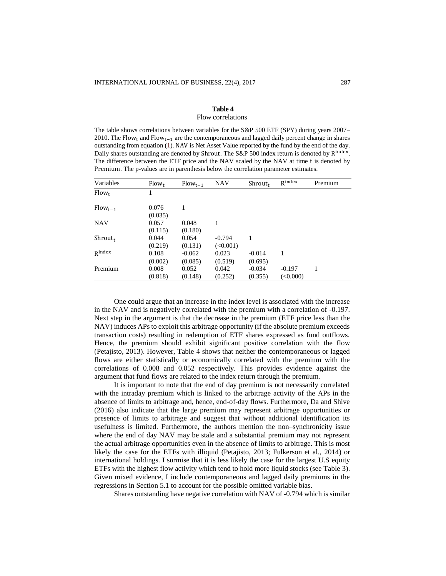# **Table 4** Flow correlations

The table shows correlations between variables for the S&P 500 ETF (SPY) during years 2007– 2010. The Flow<sub>t</sub> and Flow<sub>t−1</sub> are the contemporaneous and lagged daily percent change in shares outstanding from equation (1). NAV is Net Asset Value reported by the fund by the end of the day. Daily shares outstanding are denoted by Shrout. The S&P 500 index return is denoted by  $R^{index}$ . The difference between the ETF price and the NAV scaled by the NAV at time t is denoted by Premium. The p-values are in parenthesis below the correlation parameter estimates.

| Variables    | $Flow_t$         | $Flow_{t-1}$        | <b>NAV</b>           | $Shrout_t$          | $R^{index}$          | Premium |
|--------------|------------------|---------------------|----------------------|---------------------|----------------------|---------|
| $Flow_t$     |                  |                     |                      |                     |                      |         |
| $Flow_{t-1}$ | 0.076<br>(0.035) | 1                   |                      |                     |                      |         |
| <b>NAV</b>   | 0.057<br>(0.115) | 0.048<br>(0.180)    |                      |                     |                      |         |
| $Shrout_{t}$ | 0.044<br>(0.219) | 0.054<br>(0.131)    | $-0.794$<br>(<0.001) | 1                   |                      |         |
| $R^{index}$  | 0.108<br>(0.002) | $-0.062$<br>(0.085) | 0.023<br>(0.519)     | $-0.014$<br>(0.695) | 1                    |         |
| Premium      | 0.008<br>(0.818) | 0.052<br>(0.148)    | 0.042<br>(0.252)     | $-0.034$<br>(0.355) | $-0.197$<br>(<0.000) | 1       |

<span id="page-12-0"></span>One could argue that an increase in the index level is associated with the increase in the NAV and is negatively correlated with the premium with a correlation of -0.197. Next step in the argument is that the decrease in the premium (ETF price less than the NAV) induces APs to exploit this arbitrage opportunity (if the absolute premium exceeds transaction costs) resulting in redemption of ETF shares expressed as fund outflows. Hence, the premium should exhibit significant positive correlation with the flow (Petajisto, [2013\)](#page-28-15). However, Table [4](#page-12-0) shows that neither the contemporaneous or lagged flows are either statistically or economically correlated with the premium with the correlations of 0.008 and 0.052 respectively. This provides evidence against the argument that fund flows are related to the index return through the premium.

It is important to note that the end of day premium is not necessarily correlated with the intraday premium which is linked to the arbitrage activity of the APs in the absence of limits to arbitrage and, hence, end-of-day flows. Furthermore, Da and Shive [\(2016\)](#page-27-6) also indicate that the large premium may represent arbitrage opportunities or presence of limits to arbitrage and suggest that without additional identification its usefulness is limited. Furthermore, the authors mention the non–synchronicity issue where the end of day NAV may be stale and a substantial premium may not represent the actual arbitrage opportunities even in the absence of limits to arbitrage. This is most likely the case for the ETFs with illiquid (Petajisto, [2013;](#page-28-15) Fulkerson et al., [2014\)](#page-28-0) or international holdings. I surmise that it is less likely the case for the largest U.S equity ETFs with the highest flow activity which tend to hold more liquid stocks (see Table 3). Given mixed evidence, I include contemporaneous and lagged daily premiums in the regressions in Sectio[n 5.1](#page-13-0) to account for the possible omitted variable bias.

Shares outstanding have negative correlation with NAV of -0.794 which is similar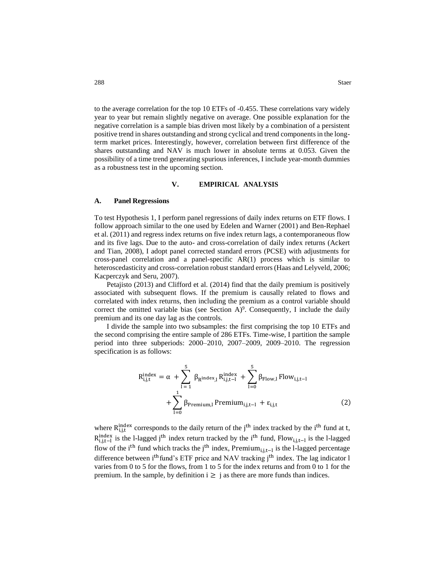to the average correlation for the top 10 ETFs of -0.455. These correlations vary widely year to year but remain slightly negative on average. One possible explanation for the negative correlation is a sample bias driven most likely by a combination of a persistent

positive trend in shares outstanding and strong cyclical and trend components in the longterm market prices. Interestingly, however, correlation between first difference of the shares outstanding and NAV is much lower in absolute terms at 0.053. Given the possibility of a time trend generating spurious inferences, I include year-month dummies as a robustness test in the upcoming section.

# **V. EMPIRICAL ANALYSIS**

#### <span id="page-13-0"></span>**A. Panel Regressions**

To test Hypothesis [1,](#page-6-0) I perform panel regressions of daily index returns on ETF flows. I follow approach similar to the one used by Edelen and Warner (2001) and Ben-Rephael et al. [\(2011\)](#page-27-1) and regress index returns on five index return lags, a contemporaneous flow and its five lags. Due to the auto- and cross-correlation of daily index returns (Ackert and Tian, [2008\)](#page-26-1), I adopt panel corrected standard errors (PCSE) with adjustments for cross-panel correlation and a panel-specific AR(1) process which is similar to heteroscedasticity and cross-correlation robust standard errors (Haas and Lelyveld, [2006;](#page-28-16) Kacperczyk and Seru, [2007\)](#page-28-17).

Petajisto [\(2013\)](#page-28-15) and Clifford et al. (2014) find that the daily premium is positively associated with subsequent flows. If the premium is causally related to flows and correlated with index returns, then including the premium as a control variable should correct the omitted variable bias (see Section  $A$ )<sup>9</sup>. Consequently, I include the daily premium and its one day lag as the controls.

I divide the sample into two subsamples: the first comprising the top 10 ETFs and the second comprising the entire sample of 286 ETFs. Time-wise, I partition the sample period into three subperiods: 2000–2010, 2007–2009, 2009–2010. The regression specification is as follows:

$$
R_{i,j,t}^{\text{index}} = \alpha + \sum_{l=1}^{5} \beta_{\text{R}^{\text{index}},l} R_{i,j,t-l}^{\text{index}} + \sum_{l=0}^{5} \beta_{\text{Flow},l} \text{Flow}_{i,j,t-l} + \sum_{l=0}^{1} \beta_{\text{Premium},l} \text{Premium}_{i,j,t-l} + \varepsilon_{i,j,t}
$$
\n(2)

where  $R_{i,j,t}^{index}$  corresponds to the daily return of the j<sup>th</sup> index tracked by the i<sup>th</sup> fund at t, R<sup>index</sup> is the l-lagged j<sup>th</sup> index return tracked by the i<sup>th</sup> fund, Flow<sub>i,j,t-l</sub> is the l-lagged flow of the i<sup>th</sup> fund which tracks the j<sup>th</sup> index, Premium<sub>i,j,t-l</sub> is the l-lagged percentage difference between i<sup>th</sup> fund's ETF price and NAV tracking j<sup>th</sup> index. The lag indicator l varies from 0 to 5 for the flows, from 1 to 5 for the index returns and from 0 to 1 for the premium. In the sample, by definition  $i \geq j$  as there are more funds than indices.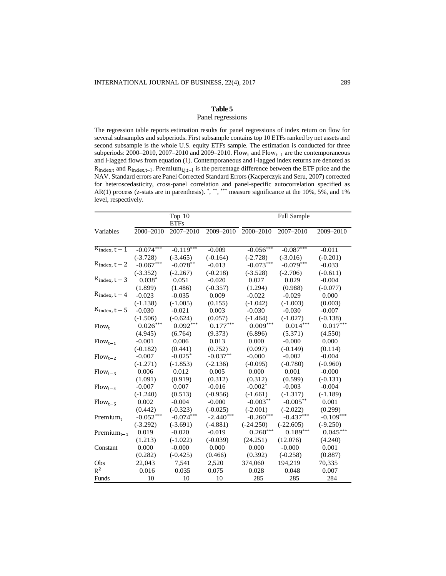# **Table 5**

# Panel regressions

The regression table reports estimation results for panel regressions of index return on flow for several subsamples and subperiods. First subsample contains top 10 ETFs ranked by net assets and second subsample is the whole U.S. equity ETFs sample. The estimation is conducted for three subperiods: 2000–2010, 2007–2010 and 2009–2010. Flow<sub>t</sub> and Flow<sub>t-l</sub> are the contemporaneous and l-lagged flows from equation (1). Contemporaneous and l-lagged index returns are denoted as R<sub>index,t</sub> and R<sub>index,t−l</sub>. Premium<sub>i,j,t−l</sub> is the percentage difference between the ETF price and the NAV. Standard errors are Panel Corrected Standard Errors (Kacperczyk and Seru[, 2007\)](#page-28-17) corrected for heteroscedasticity, cross-panel correlation and panel-specific autocorrelation specified as AR(1) process (z-stats are in parenthesis).  $\alpha$ ,  $\alpha$ ,  $\alpha$ ,  $\alpha$ ,  $\beta$  and  $\alpha$ , and  $\alpha$ ,  $\beta$ , and  $\alpha$ ,  $\beta$ level, respectively.

|                  | Top $10$    |              |             |                     | Full Sample |             |
|------------------|-------------|--------------|-------------|---------------------|-------------|-------------|
|                  |             | <b>ETFs</b>  |             |                     |             |             |
| Variables        | 2000-2010   | 2007-2010    |             | 2009-2010 2000-2010 | 2007-2010   | 2009-2010   |
|                  |             |              |             |                     |             |             |
| $R_{index, t-1}$ | $-0.074***$ | $-0.119$ *** | $-0.009$    | $-0.056***$         | $-0.087***$ | $-0.011$    |
|                  | $(-3.728)$  | $(-3.465)$   | $(-0.164)$  | $(-2.728)$          | $(-3.016)$  | $(-0.201)$  |
| $R_{index, t-2}$ | $-0.067***$ | $-0.078**$   | $-0.013$    | $-0.073***$         | $-0.079***$ | $-0.033$    |
|                  | $(-3.352)$  | $(-2.267)$   | $(-0.218)$  | $(-3.528)$          | $(-2.706)$  | $(-0.611)$  |
| $R_{index, t-3}$ | $0.038*$    | 0.051        | $-0.020$    | 0.027               | 0.029       | $-0.004$    |
|                  | (1.899)     | (1.486)      | $(-0.357)$  | (1.294)             | (0.988)     | $(-0.077)$  |
| $R_{index, t-4}$ | $-0.023$    | $-0.035$     | 0.009       | $-0.022$            | $-0.029$    | 0.000       |
|                  | $(-1.138)$  | $(-1.005)$   | (0.155)     | $(-1.042)$          | $(-1.003)$  | (0.003)     |
| $R_{index, t-5}$ | $-0.030$    | $-0.021$     | 0.003       | $-0.030$            | $-0.030$    | $-0.007$    |
|                  | $(-1.506)$  | $(-0.624)$   | (0.057)     | $(-1.464)$          | $(-1.027)$  | $(-0.138)$  |
| $Flow_t$         | $0.026***$  | $0.092***$   | $0.177***$  | $0.009***$          | $0.014***$  | $0.017***$  |
|                  | (4.945)     | (6.764)      | (9.373)     | (6.896)             | (5.371)     | (4.550)     |
| $Flow_{t-1}$     | $-0.001$    | 0.006        | 0.013       | 0.000               | $-0.000$    | 0.000       |
|                  | $(-0.182)$  | (0.441)      | (0.752)     | (0.097)             | $(-0.149)$  | (0.114)     |
| $Flow_{t-2}$     | $-0.007$    | $-0.025*$    | $-0.037**$  | $-0.000$            | $-0.002$    | $-0.004$    |
|                  | $(-1.271)$  | $(-1.853)$   | $(-2.136)$  | $(-0.095)$          | $(-0.780)$  | $(-0.960)$  |
| $Flow_{t-3}$     | 0.006       | 0.012        | 0.005       | 0.000               | 0.001       | $-0.000$    |
|                  | (1.091)     | (0.919)      | (0.312)     | (0.312)             | (0.599)     | $(-0.131)$  |
| $Flow_{t-4}$     | $-0.007$    | 0.007        | $-0.016$    | $-0.002*$           | $-0.003$    | $-0.004$    |
|                  | $(-1.240)$  | (0.513)      | $(-0.956)$  | $(-1.661)$          | $(-1.317)$  | $(-1.189)$  |
| $Flow_{t-5}$     | 0.002       | $-0.004$     | $-0.000$    | $-0.003***$         | $-0.005***$ | 0.001       |
|                  | (0.442)     | $(-0.323)$   | $(-0.025)$  | $(-2.001)$          | $(-2.022)$  | (0.299)     |
| Premium $_{t}$   | $-0.052***$ | $-0.074***$  | $-2.440***$ | $-0.260***$         | $-0.437***$ | $-0.109***$ |
|                  | $(-3.292)$  | $(-3.691)$   | $(-4.881)$  | $(-24.250)$         | $(-22.605)$ | $(-9.250)$  |
| Premium $_{t-1}$ | 0.019       | $-0.020$     | $-0.019$    | $0.260***$          | $0.189***$  | $0.045***$  |
|                  | (1.213)     | $(-1.022)$   | $(-0.039)$  | (24.251)            | (12.076)    | (4.240)     |
| Constant         | 0.000       | $-0.000$     | 0.000       | 0.000               | $-0.000$    | 0.001       |
|                  | (0.282)     | $(-0.425)$   | (0.466)     | (0.392)             | $(-0.258)$  | (0.887)     |
| Obs              | 22,043      | 7,541        | 2,520       | 374,060             | 194,219     | 70,335      |
| $R^2$            | 0.016       | 0.035        | 0.075       | 0.028               | 0.048       | 0.007       |
| Funds            | 10          | 10           | 10          | 285                 | 285         | 284         |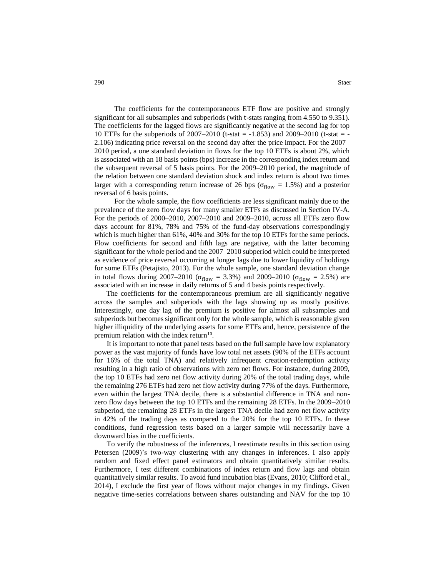The coefficients for the contemporaneous ETF flow are positive and strongly significant for all subsamples and subperiods (with t-stats ranging from 4.550 to 9.351). The coefficients for the lagged flows are significantly negative at the second lag for top 10 ETFs for the subperiods of 2007–2010 (t-stat = -1.853) and 2009–2010 (t-stat = - 2.106) indicating price reversal on the second day after the price impact. For the 2007– 2010 period, a one standard deviation in flows for the top 10 ETFs is about 2%, which is associated with an 18 basis points (bps) increase in the corresponding index return and the subsequent reversal of 5 basis points. For the 2009–2010 period, the magnitude of the relation between one standard deviation shock and index return is about two times larger with a corresponding return increase of 26 bps ( $\sigma_{flow} = 1.5\%$ ) and a posterior reversal of 6 basis points.

For the whole sample, the flow coefficients are less significant mainly due to the prevalence of the zero flow days for many smaller ETFs as discussed in Section [IV-A.](#page-8-0) For the periods of 2000–2010, 2007–2010 and 2009–2010, across all ETFs zero flow days account for 81%, 78% and 75% of the fund-day observations correspondingly which is much higher than 61%, 40% and 30% for the top 10 ETFs for the same periods. Flow coefficients for second and fifth lags are negative, with the latter becoming significant for the whole period and the 2007–2010 subperiod which could be interpreted as evidence of price reversal occurring at longer lags due to lower liquidity of holdings for some ETFs (Petajisto, [2013\)](#page-28-15). For the whole sample, one standard deviation change in total flows during 2007–2010 ( $\sigma_{flow} = 3.3\%$ ) and 2009–2010 ( $\sigma_{flow} = 2.5\%$ ) are associated with an increase in daily returns of 5 and 4 basis points respectively.

The coefficients for the contemporaneous premium are all significantly negative across the samples and subperiods with the lags showing up as mostly positive. Interestingly, one day lag of the premium is positive for almost all subsamples and subperiods but becomes significant only for the whole sample, which is reasonable given higher illiquidity of the underlying assets for some ETFs and, hence, persistence of the premium relation with the index return<sup>10</sup>.

It is important to note that panel tests based on the full sample have low explanatory power as the vast majority of funds have low total net assets (90% of the ETFs account for 16% of the total TNA) and relatively infrequent creation-redemption activity resulting in a high ratio of observations with zero net flows. For instance, during 2009, the top 10 ETFs had zero net flow activity during 20% of the total trading days, while the remaining 276 ETFs had zero net flow activity during 77% of the days. Furthermore, even within the largest TNA decile, there is a substantial difference in TNA and nonzero flow days between the top 10 ETFs and the remaining 28 ETFs. In the 2009–2010 subperiod, the remaining 28 ETFs in the largest TNA decile had zero net flow activity in 42% of the trading days as compared to the 20% for the top 10 ETFs. In these conditions, fund regression tests based on a larger sample will necessarily have a downward bias in the coefficients.

To verify the robustness of the inferences, I reestimate results in this section using Petersen [\(2009\)](#page-28-18)'s two-way clustering with any changes in inferences. I also apply random and fixed effect panel estimators and obtain quantitatively similar results. Furthermore, I test different combinations of index return and flow lags and obtain quantitatively similar results. To avoid fund incubation bias (Evans, [2010;](#page-27-14) Clifford et al., 2014), I exclude the first year of flows without major changes in my findings. Given negative time-series correlations between shares outstanding and NAV for the top 10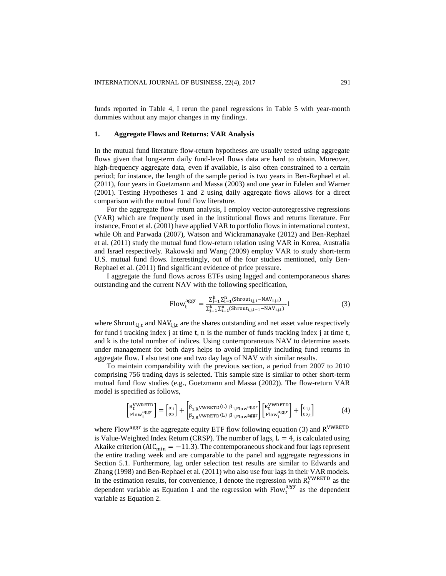funds reported in Table [4,](#page-12-0) I rerun the panel regressions in Table 5 with year-month dummies without any major changes in my findings.

#### <span id="page-16-1"></span>**1. Aggregate Flows and Returns: VAR Analysis**

In the mutual fund literature flow-return hypotheses are usually tested using aggregate flows given that long-term daily fund-level flows data are hard to obtain. Moreover, high-frequency aggregate data, even if available, is also often constrained to a certain period; for instance, the length of the sample period is two years in Ben-Rephael et al. [\(2011\)](#page-27-1), four years in Goetzmann and Massa [\(2003\)](#page-28-6) and one year in Edelen and Warner (2001). Testing Hypotheses [1](#page-6-0) and [2](#page-6-1) using daily aggregate flows allows for a direct comparison with the mutual fund flow literature.

For the aggregate flow–return analysis, I employ vector-autoregressive regressions (VAR) which are frequently used in the institutional flows and returns literature. For instance, Froot et al. [\(2001\)](#page-28-8) have applied VAR to portfolio flows in international context, while Oh and Parwada [\(2007\)](#page-28-9), Watson and Wickramanayake (2012) and Ben-Rephael et al. [\(2011\)](#page-27-1) study the mutual fund flow-return relation using VAR in Korea, Australia and Israel respectively. Rakowski and Wang [\(2009\)](#page-28-7) employ VAR to study short-term U.S. mutual fund flows. Interestingly, out of the four studies mentioned, only Ben-Rephael et al. [\(2011\)](#page-27-1) find significant evidence of price pressure.

I aggregate the fund flows across ETFs using lagged and contemporaneous shares outstanding and the current NAV with the following specification,

<span id="page-16-0"></span>
$$
\text{Flow}_{\text{t}}^{\text{aggr}} = \frac{\sum_{j=1}^{k} \sum_{i=1}^{n} (\text{Shrout}_{i,j,\text{t}} - \text{NAV}_{i,j,\text{t}})}{\sum_{j=1}^{k} \sum_{i=1}^{n} (\text{Shrout}_{i,j,\text{t}} - \text{NAV}_{i,j,\text{t}})} \cdot 1\tag{3}
$$

where  $\text{Shrout}_{i,j,t}$  and  $\text{NAV}_{i,j,t}$  are the shares outstanding and net asset value respectively for fund i tracking index j at time t, n is the number of funds tracking index j at time t, and k is the total number of indices. Using contemporaneous NAV to determine assets under management for both days helps to avoid implicitly including fund returns in aggregate flow. I also test one and two day lags of NAV with similar results.

To maintain comparability with the previous section, a period from 2007 to 2010 comprising 756 trading days is selected. This sample size is similar to other short-term mutual fund flow studies (e.g., Goetzmann and Massa [\(2002\)](#page-28-19)). The flow-return VAR model is specified as follows,

$$
\begin{bmatrix} R_t^{VWERED} \\ Flow_t^{aggr} \end{bmatrix} = \begin{bmatrix} \alpha_1 \\ \alpha_2 \end{bmatrix} + \begin{bmatrix} \beta_{1,R}VWERTD(L) & \beta_{1,Flowaggr} \\ \beta_{2,R}VWERTD(L) & \beta_{1,Flowaggr} \end{bmatrix} \begin{bmatrix} R_t^{VWERTD} \\ Flow_t^{aggr} \end{bmatrix} + \begin{bmatrix} \varepsilon_{1,t} \\ \varepsilon_{2,t} \end{bmatrix}
$$
 (4)

where Flow<sup>aggr</sup> is the aggregate equity ETF flow following equation [\(3\)](#page-16-0) and R<sup>VWRETD</sup> is Value-Weighted Index Return (CRSP). The number of lags,  $L = 4$ , is calculated using Akaike criterion ( $AIC<sub>min</sub> = -11.3$ ). The contemporaneous shock and four lags represent the entire trading week and are comparable to the panel and aggregate regressions in Section [5.1.](#page-13-0) Furthermore, lag order selection test results are similar to Edwards and Zhang [\(1998\)](#page-27-4) and Ben-Rephael et al. [\(2011\)](#page-27-1) who also use four lags in their VAR models. In the estimation results, for convenience, I denote the regression with  $R_t^{VWRETD}$  as the dependent variable as Equation 1 and the regression with  $Flow_t^{aggr}$  as the dependent variable as Equation 2.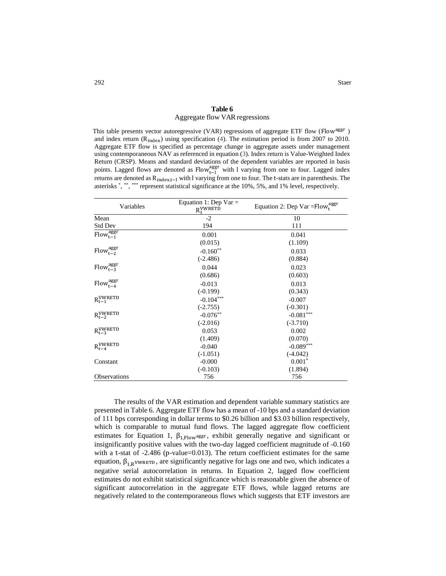# **Table 6** Aggregate flow VAR regressions

This table presents vector autoregressive (VAR) regressions of aggregate ETF flow (Flow<sup>aggr</sup>) and index return  $(R_{index})$  using specification (4). The estimation period is from 2007 to 2010. Aggregate ETF flow is specified as percentage change in aggregate assets under management using contemporaneous NAV as referenced in equation [\(3\)](#page-16-0). Index return is Value-Weighted Index Return (CRSP). Means and standard deviations of the dependent variables are reported in basis points. Lagged flows are denoted as  $Flow_{t-1}^{ager}$  with l varying from one to four. Lagged index returns are denoted as Rindex,t−l with l varying from one to four. The t-stats are in parenthesis. The asterisks \*, \*\*, \*\*\*\* represent statistical significance at the 10%, 5%, and 1% level, respectively.

| Variables           | Equation 1: Dep Var $=$<br>R <sup>VWRETD</sup> | Equation 2: Dep Var = $Flow_t^{aggr}$ |
|---------------------|------------------------------------------------|---------------------------------------|
| Mean                | $-2$                                           | 10                                    |
| <b>Std Dev</b>      | 194                                            | 111                                   |
| $Flow_{t-1}^{aggr}$ | 0.001                                          | 0.041                                 |
|                     | (0.015)                                        | (1.109)                               |
| $Flow_{t-2}^{aggr}$ | $-0.160**$                                     | 0.033                                 |
|                     | $(-2.486)$                                     | (0.884)                               |
| $Flow_{t-3}^{aggr}$ | 0.044                                          | 0.023                                 |
|                     | (0.686)                                        | (0.603)                               |
| $Flow_{t-4}^{aggr}$ | $-0.013$                                       | 0.013                                 |
|                     | $(-0.199)$                                     | (0.343)                               |
| $R_{t-1}^{VWRETD}$  | $-0.104***$                                    | $-0.007$                              |
|                     | $(-2.755)$                                     | $(-0.301)$                            |
| $R_{t-2}^{VWRETD}$  | $-0.076**$                                     | $-0.081***$                           |
|                     | $(-2.016)$                                     | $(-3.710)$                            |
| $R_{t-3}^{VWRETD}$  | 0.053                                          | 0.002                                 |
|                     | (1.409)                                        | (0.070)                               |
| $R_{t-4}^{VWRETD}$  | $-0.040$                                       | $-0.089***$                           |
|                     | $(-1.051)$                                     | $(-4.042)$                            |
| Constant            | $-0.000$                                       | $0.001*$                              |
|                     | $(-0.103)$                                     | (1.894)                               |
| Observations        | 756                                            | 756                                   |

The results of the VAR estimation and dependent variable summary statistics are presented in Table 6. Aggregate ETF flow has a mean of -10 bps and a standard deviation of 111 bps corresponding in dollar terms to \$0.26 billion and \$3.03 billion respectively, which is comparable to mutual fund flows. The lagged aggregate flow coefficient estimates for Equation 1,  $\beta_{1,Flow}$ <sup>aggr</sup>, exhibit generally negative and significant or insignificantly positive values with the two-day lagged coefficient magnitude of -0.160 with a t-stat of -2.486 (p-value=0.013). The return coefficient estimates for the same equation,  $β_{1,R}$  vwRETD, are significantly negative for lags one and two, which indicates a negative serial autocorrelation in returns. In Equation 2, lagged flow coefficient estimates do not exhibit statistical significance which is reasonable given the absence of significant autocorrelation in the aggregate ETF flows, while lagged returns are negatively related to the contemporaneous flows which suggests that ETF investors are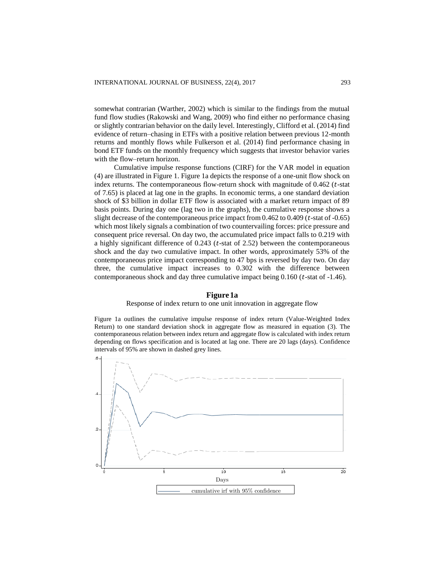somewhat contrarian (Warther, [2002\)](#page-29-0) which is similar to the findings from the mutual fund flow studies (Rakowski and Wang, [2009\)](#page-28-7) who find either no performance chasing or slightly contrarian behavior on the daily level. Interestingly, Clifford et al. (2014) find evidence of return–chasing in ETFs with a positive relation between previous 12-month returns and monthly flows while Fulkerson et al. [\(2014\)](#page-28-0) find performance chasing in bond ETF funds on the monthly frequency which suggests that investor behavior varies with the flow–return horizon.

Cumulative impulse response functions (CIRF) for the VAR model in equation (4) are illustrated in Figure 1. Figure 1a depicts the response of a one-unit flow shock on index returns. The contemporaneous flow-return shock with magnitude of  $0.462$  ( $t$ -stat of 7.65) is placed at lag one in the graphs. In economic terms, a one standard deviation shock of \$3 billion in dollar ETF flow is associated with a market return impact of 89 basis points. During day one (lag two in the graphs), the cumulative response shows a slight decrease of the contemporaneous price impact from  $0.462$  to  $0.409$  (*t*-stat of  $-0.65$ ) which most likely signals a combination of two countervailing forces: price pressure and consequent price reversal. On day two, the accumulated price impact falls to 0.219 with a highly significant difference of  $0.243$  (*t*-stat of 2.52) between the contemporaneous shock and the day two cumulative impact. In other words, approximately 53% of the contemporaneous price impact corresponding to 47 bps is reversed by day two. On day three, the cumulative impact increases to 0.302 with the difference between contemporaneous shock and day three cumulative impact being  $0.160$  (*t*-stat of -1.46).

# **Figure1a**

# Response of index return to one unit innovation in aggregate flow

Figure 1a outlines the cumulative impulse response of index return (Value-Weighted Index Return) to one standard deviation shock in aggregate flow as measured in equation [\(3\)](#page-16-0). The contemporaneous relation between index return and aggregate flow is calculated with index return depending on flows specification and is located at lag one. There are 20 lags (days). Confidence intervals of 95% are shown in dashed grey lines.

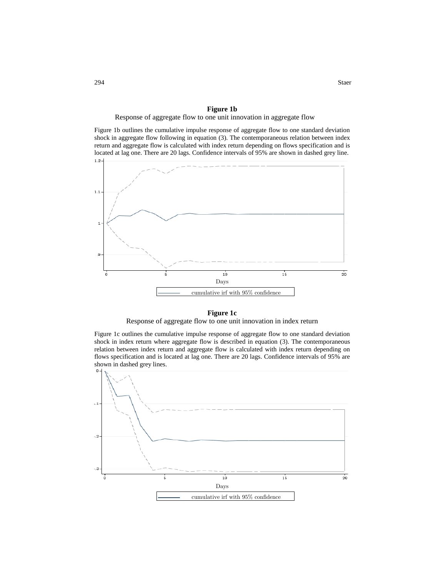**Figure 1b** Response of aggregate flow to one unit innovation in aggregate flow

Figure 1b outlines the cumulative impulse response of aggregate flow to one standard deviation shock in aggregate flow following in equation [\(3\)](#page-16-0). The contemporaneous relation between index return and aggregate flow is calculated with index return depending on flows specification and is located at lag one. There are 20 lags. Confidence intervals of 95% are shown in dashed grey line.



#### **Figure 1c**

Response of aggregate flow to one unit innovation in index return

Figure [1c](#page-19-0) outlines the cumulative impulse response of aggregate flow to one standard deviation shock in index return where aggregate flow is described in equation [\(3\)](#page-16-0). The contemporaneous relation between index return and aggregate flow is calculated with index return depending on flows specification and is located at lag one. There are 20 lags. Confidence intervals of 95% are shown in dashed grey lines.

<span id="page-19-0"></span>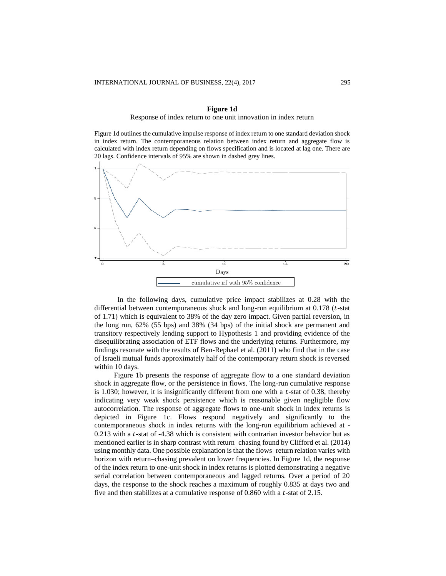# **Figure 1d** Response of index return to one unit innovation in index return

Figur[e 1d](#page-19-0) outlines the cumulative impulse response of index return to one standard deviation shock in index return. The contemporaneous relation between index return and aggregate flow is calculated with index return depending on flows specification and is located at lag one. There are 20 lags. Confidence intervals of 95% are shown in dashed grey lines.



In the following days, cumulative price impact stabilizes at 0.28 with the differential between contemporaneous shock and long-run equilibrium at  $0.178$  ( $t$ -stat of 1.71) which is equivalent to 38% of the day zero impact. Given partial reversion, in the long run, 62% (55 bps) and 38% (34 bps) of the initial shock are permanent and transitory respectively lending support to Hypothesis [1](#page-6-0) and providing evidence of the disequilibrating association of ETF flows and the underlying returns. Furthermore, my findings resonate with the results of Ben-Rephael et al. [\(2011\)](#page-27-1) who find that in the case of Israeli mutual funds approximately half of the contemporary return shock is reversed within 10 days.

Figure 1b presents the response of aggregate flow to a one standard deviation shock in aggregate flow, or the persistence in flows. The long-run cumulative response is 1.030; however, it is insignificantly different from one with a  $t$ -stat of 0.38, thereby indicating very weak shock persistence which is reasonable given negligible flow autocorrelation. The response of aggregate flows to one-unit shock in index returns is depicted in Figure [1c.](#page-19-0) Flows respond negatively and significantly to the contemporaneous shock in index returns with the long-run equilibrium achieved at -  $0.213$  with a t-stat of  $-4.38$  which is consistent with contrarian investor behavior but as mentioned earlier is in sharp contrast with return–chasing found by Clifford et al. (2014) using monthly data. One possible explanation is that the flows–return relation varies with horizon with return–chasing prevalent on lower frequencies. In Figure [1d,](#page-19-0) the response of the index return to one-unit shock in index returns is plotted demonstrating a negative serial correlation between contemporaneous and lagged returns. Over a period of 20 days, the response to the shock reaches a maximum of roughly 0.835 at days two and five and then stabilizes at a cumulative response of  $0.860$  with a t-stat of  $2.15$ .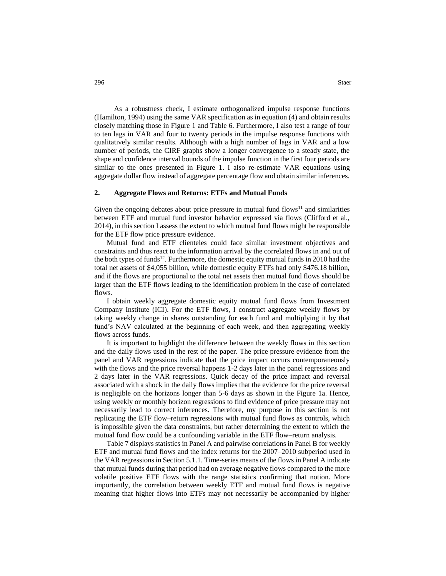As a robustness check, I estimate orthogonalized impulse response functions (Hamilton[, 1994\)](#page-28-20) using the same VAR specification as in equation (4) and obtain results closely matching those in Figure 1 and Table 6. Furthermore, I also test a range of four to ten lags in VAR and four to twenty periods in the impulse response functions with qualitatively similar results. Although with a high number of lags in VAR and a low number of periods, the CIRF graphs show a longer convergence to a steady state, the shape and confidence interval bounds of the impulse function in the first four periods are similar to the ones presented in Figure 1. I also re-estimate VAR equations using

#### **2. Aggregate Flows and Returns: ETFs and Mutual Funds**

Given the ongoing debates about price pressure in mutual fund flows<sup>11</sup> and similarities between ETF and mutual fund investor behavior expressed via flows (Clifford et al., 2014), in this section I assess the extent to which mutual fund flows might be responsible for the ETF flow price pressure evidence.

aggregate dollar flow instead of aggregate percentage flow and obtain similar inferences.

Mutual fund and ETF clienteles could face similar investment objectives and constraints and thus react to the information arrival by the correlated flows in and out of the both types of funds<sup>12</sup>. Furthermore, the domestic equity mutual funds in 2010 had the total net assets of \$4,055 billion, while domestic equity ETFs had only \$476.18 billion, and if the flows are proportional to the total net assets then mutual fund flows should be larger than the ETF flows leading to the identification problem in the case of correlated flows.

I obtain weekly aggregate domestic equity mutual fund flows from Investment Company Institute (ICI). For the ETF flows, I construct aggregate weekly flows by taking weekly change in shares outstanding for each fund and multiplying it by that fund's NAV calculated at the beginning of each week, and then aggregating weekly flows across funds.

It is important to highlight the difference between the weekly flows in this section and the daily flows used in the rest of the paper. The price pressure evidence from the panel and VAR regressions indicate that the price impact occurs contemporaneously with the flows and the price reversal happens 1-2 days later in the panel regressions and 2 days later in the VAR regressions. Quick decay of the price impact and reversal associated with a shock in the daily flows implies that the evidence for the price reversal is negligible on the horizons longer than 5-6 days as shown in the Figure 1a. Hence, using weekly or monthly horizon regressions to find evidence of price pressure may not necessarily lead to correct inferences. Therefore, my purpose in this section is not replicating the ETF flow–return regressions with mutual fund flows as controls, which is impossible given the data constraints, but rather determining the extent to which the mutual fund flow could be a confounding variable in the ETF flow–return analysis.

Table 7 displays statistics in Panel A and pairwise correlations in Panel B for weekly ETF and mutual fund flows and the index returns for the 2007–2010 subperiod used in the VAR regressions in Sectio[n 5.1.1.](#page-16-1) Time-series means of the flows in Panel A indicate that mutual funds during that period had on average negative flows compared to the more volatile positive ETF flows with the range statistics confirming that notion. More importantly, the correlation between weekly ETF and mutual fund flows is negative meaning that higher flows into ETFs may not necessarily be accompanied by higher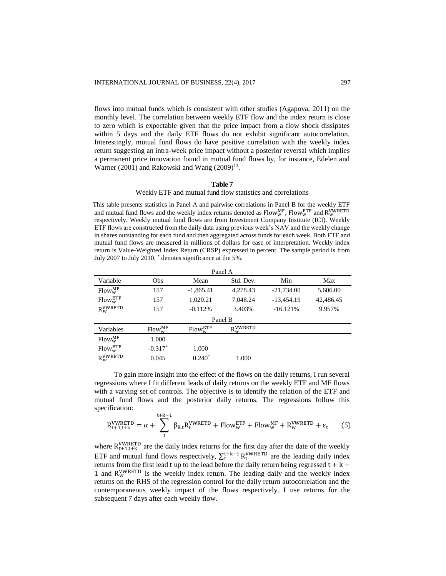flows into mutual funds which is consistent with other studies (Agapova, [2011\)](#page-26-0) on the monthly level. The correlation between weekly ETF flow and the index return is close to zero which is expectable given that the price impact from a flow shock dissipates within 5 days and the daily ETF flows do not exhibit significant autocorrelation. Interestingly, mutual fund flows do have positive correlation with the weekly index return suggesting an intra-week price impact without a posterior reversal which implies a permanent price innovation found in mutual fund flows by, for instance, Edelen and Warner  $(2001)$  and Rakowski and Wang  $(2009)^{13}$  $(2009)^{13}$ .

#### **Table 7**

#### Weekly ETF and mutual fund flow statistics and correlations

This table presents statistics in Panel A and pairwise correlations in Panel B for the weekly ETF and mutual fund flows and the weekly index returns denoted as  $Flow^{\text{MF}}_{w}$ , Flow $^{ETF}_{w}$  and  $R^{\text{VWRETD}}_{w}$ respectively. Weekly mutual fund flows are from Investment Company Institute (ICI). Weekly ETF flows are constructed from the daily data using previous week's NAV and the weekly change in shares outstanding for each fund and then aggregated across funds for each week. Both ETF and mutual fund flows are measured in millions of dollars for ease of interpretation. Weekly index return is Value-Weighted Index Return (CRSP) expressed in percent. The sample period is from July 2007 to July 2010. \* denotes significance at the 5%.

| Panel A              |                      |                  |           |              |           |  |  |  |
|----------------------|----------------------|------------------|-----------|--------------|-----------|--|--|--|
| Variable             | <b>Obs</b>           | Mean             | Std. Dev. | Min          | Max       |  |  |  |
| $Flow_w^{\text{MF}}$ | 157                  | $-1,865.41$      | 4,278.43  | $-21,734.00$ | 5,606.00  |  |  |  |
| $Flow_{w}^{ETF}$     | 157                  | 1,020.21         | 7.048.24  | $-13.454.19$ | 42,486.45 |  |  |  |
| RWWRETD              | 157                  | $-0.112%$        | 3.403%    | $-16.121%$   | 9.957%    |  |  |  |
|                      |                      |                  | Panel B   |              |           |  |  |  |
| Variables            | $Flow_w^{\text{MF}}$ | $Flow_{w}^{ETF}$ | RWWRETD   |              |           |  |  |  |
| $Flow_{W}^{MF}$      | 1.000                |                  |           |              |           |  |  |  |
| $Flow_{w}^{ETF}$     | $-0.317*$            | 1.000            |           |              |           |  |  |  |
| RWWRETD              | 0.045                | $0.240*$         | 1.000     |              |           |  |  |  |

To gain more insight into the effect of the flows on the daily returns, I run several regressions where I fit different leads of daily returns on the weekly ETF and MF flows with a varying set of controls. The objective is to identify the relation of the ETF and mutual fund flows and the posterior daily returns. The regressions follow this specification:

$$
R_{t+1,t+k}^{VWRETD} = \alpha + \sum_{t}^{t+k-1} \beta_{R,t} R_{t}^{VWRETD} + Flow_{w}^{ETF} + Flow_{w}^{MF} + R_{w}^{VWRETD} + \varepsilon_{t}
$$
 (5)

where  $R_{t+1,t+k}^{VWRETD}$  are the daily index returns for the first day after the date of the weekly ETF and mutual fund flows respectively,  $\sum_{t}^{t+k-1} R_t^{\text{VWRED}}$  are the leading daily index returns from the first lead t up to the lead before the daily return being regressed  $t + k -$ 1 and  $R_{w}^{VWRETD}$  is the weekly index return. The leading daily and the weekly index returns on the RHS of the regression control for the daily return autocorrelation and the contemporaneous weekly impact of the flows respectively. I use returns for the subsequent 7 days after each weekly flow.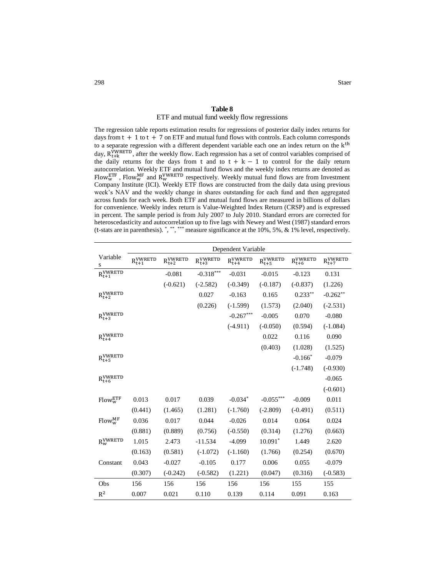# **Table 8**

# ETF and mutual fund weekly flow regressions

The regression table reports estimation results for regressions of posterior daily index returns for days from  $t + 1$  to  $t + 7$  on ETF and mutual fund flows with controls. Each column corresponds to a separate regression with a different dependent variable each one an index return on the k<sup>th</sup> day,  $R_{t+k}^{VWRETD}$ , after the weekly flow. Each regression has a set of control variables comprised of the daily returns for the days from t and to  $t + k - 1$  to control for the daily return autocorrelation. Weekly ETF and mutual fund flows and the weekly index returns are denoted as Flow $_{\rm w}^{\rm ETF}$ , Flow $_{\rm w}^{\rm MF}$  and R<sub>W</sub>WRETD respectively. Weekly mutual fund flows are from Investment Company Institute (ICI). Weekly ETF flows are constructed from the daily data using previous week's NAV and the weekly change in shares outstanding for each fund and then aggregated across funds for each week. Both ETF and mutual fund flows are measured in billions of dollars for convenience. Weekly index return is Value-Weighted Index Return (CRSP) and is expressed in percent. The sample period is from July 2007 to July 2010. Standard errors are corrected for heteroscedasticity and autocorrelation up to five lags with Newey and West [\(1987\)](#page-28-21) standard errors (t-stats are in parenthesis). \*, \*\*\*, \*\*\*\* measure significance at the 10%, 5%, & 1% level, respectively.

|                      | Dependent Variable |                    |                    |                    |                    |                    |                    |  |  |
|----------------------|--------------------|--------------------|--------------------|--------------------|--------------------|--------------------|--------------------|--|--|
| Variable<br>S        | $R_{t+1}^{VWRETD}$ | $R_{t+2}^{VWRETD}$ | $R_{t+3}^{VWRETD}$ | $R_{t+4}^{VWRETD}$ | $R_{t+5}^{VWRETD}$ | $R_{t+6}^{VWRETD}$ | $R_{t+7}^{VWRETD}$ |  |  |
| $R_{t+1}^{VWRETD}$   |                    | $-0.081$           | $-0.318***$        | $-0.031$           | $-0.015$           | $-0.123$           | 0.131              |  |  |
|                      |                    | $(-0.621)$         | $(-2.582)$         | $(-0.349)$         | $(-0.187)$         | $(-0.837)$         | (1.226)            |  |  |
| $R_{t+2}^{VWRETD}$   |                    |                    | 0.027              | $-0.163$           | 0.165              | $0.233***$         | $-0.262**$         |  |  |
|                      |                    |                    | (0.226)            | $(-1.599)$         | (1.573)            | (2.040)            | $(-2.531)$         |  |  |
| $R_{t+3}^{VWRETD}$   |                    |                    |                    | $-0.267***$        | $-0.005$           | 0.070              | $-0.080$           |  |  |
|                      |                    |                    |                    | $(-4.911)$         | $(-0.050)$         | (0.594)            | $(-1.084)$         |  |  |
| $R_{t+4}^{VWRETD}$   |                    |                    |                    |                    | 0.022              | 0.116              | 0.090              |  |  |
|                      |                    |                    |                    |                    | (0.403)            | (1.028)            | (1.525)            |  |  |
| $R_{t+5}^{VWRETD}$   |                    |                    |                    |                    |                    | $-0.166*$          | $-0.079$           |  |  |
|                      |                    |                    |                    |                    |                    | $(-1.748)$         | $(-0.930)$         |  |  |
| $R_{t+6}^{VWRETD}$   |                    |                    |                    |                    |                    |                    | $-0.065$           |  |  |
|                      |                    |                    |                    |                    |                    |                    | $(-0.601)$         |  |  |
| $Flow_{w}^{ETF}$     | 0.013              | 0.017              | 0.039              | $-0.034*$          | $-0.055***$        | $-0.009$           | 0.011              |  |  |
|                      | (0.441)            | (1.465)            | (1.281)            | $(-1.760)$         | $(-2.809)$         | $(-0.491)$         | (0.511)            |  |  |
| $Flow_w^{\text{MF}}$ | 0.036              | 0.017              | 0.044              | $-0.026$           | 0.014              | 0.064              | 0.024              |  |  |
|                      | (0.881)            | (0.889)            | (0.756)            | $(-0.550)$         | (0.314)            | (1.276)            | (0.663)            |  |  |
| <b>RWWRETD</b>       | 1.015              | 2.473              | $-11.534$          | $-4.099$           | $10.091*$          | 1.449              | 2.620              |  |  |
|                      | (0.163)            | (0.581)            | $(-1.072)$         | $(-1.160)$         | (1.766)            | (0.254)            | (0.670)            |  |  |
| Constant             | 0.043              | $-0.027$           | $-0.105$           | 0.177              | 0.006              | 0.055              | $-0.079$           |  |  |
|                      | (0.307)            | $(-0.242)$         | $(-0.582)$         | (1.221)            | (0.047)            | (0.316)            | $(-0.583)$         |  |  |
| Obs                  | 156                | 156                | 156                | 156                | 156                | 155                | 155                |  |  |
| $R^2$                | 0.007              | 0.021              | 0.110              | 0.139              | 0.114              | 0.091              | 0.163              |  |  |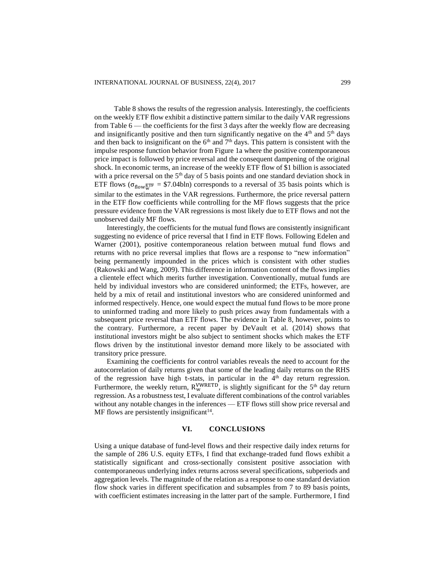Table 8 shows the results of the regression analysis. Interestingly, the coefficients on the weekly ETF flow exhibit a distinctive pattern similar to the daily VAR regressions from Table 6 — the coefficients for the first 3 days after the weekly flow are decreasing and insignificantly positive and then turn significantly negative on the  $4<sup>th</sup>$  and  $5<sup>th</sup>$  days and then back to insignificant on the  $6<sup>th</sup>$  and  $7<sup>th</sup>$  days. This pattern is consistent with the impulse response function behavior from Figure 1a where the positive contemporaneous price impact is followed by price reversal and the consequent dampening of the original shock. In economic terms, an increase of the weekly ETF flow of \$1 billion is associated with a price reversal on the 5<sup>th</sup> day of 5 basis points and one standard deviation shock in ETF flows ( $\sigma_{flow_{\text{W}}^{\text{ETF}}}$  = \$7.04bln) corresponds to a reversal of 35 basis points which is similar to the estimates in the VAR regressions. Furthermore, the price reversal pattern in the ETF flow coefficients while controlling for the MF flows suggests that the price pressure evidence from the VAR regressions is most likely due to ETF flows and not the unobserved daily MF flows.

Interestingly, the coefficients for the mutual fund flows are consistently insignificant suggesting no evidence of price reversal that I find in ETF flows. Following Edelen and Warner (2001), positive contemporaneous relation between mutual fund flows and returns with no price reversal implies that flows are a response to "new information" being permanently impounded in the prices which is consistent with other studies (Rakowski and Wang, [2009\)](#page-28-7). This difference in information content of the flows implies a clientele effect which merits further investigation. Conventionally, mutual funds are held by individual investors who are considered uninformed; the ETFs, however, are held by a mix of retail and institutional investors who are considered uninformed and informed respectively. Hence, one would expect the mutual fund flows to be more prone to uninformed trading and more likely to push prices away from fundamentals with a subsequent price reversal than ETF flows. The evidence in Table 8, however, points to the contrary. Furthermore, a recent paper by DeVault et al. [\(2014\)](#page-27-15) shows that institutional investors might be also subject to sentiment shocks which makes the ETF flows driven by the institutional investor demand more likely to be associated with transitory price pressure.

Examining the coefficients for control variables reveals the need to account for the autocorrelation of daily returns given that some of the leading daily returns on the RHS of the regression have high t-stats, in particular in the  $4<sup>th</sup>$  day return regression. Furthermore, the weekly return,  $R_{w}^{VWRETD}$ , is slightly significant for the  $5^{th}$  day return regression. As a robustness test, I evaluate different combinations of the control variables without any notable changes in the inferences — ETF flows still show price reversal and MF flows are persistently insignificant<sup>14</sup>.

# **VI. CONCLUSIONS**

Using a unique database of fund-level flows and their respective daily index returns for the sample of 286 U.S. equity ETFs, I find that exchange-traded fund flows exhibit a statistically significant and cross-sectionally consistent positive association with contemporaneous underlying index returns across several specifications, subperiods and aggregation levels. The magnitude of the relation as a response to one standard deviation flow shock varies in different specification and subsamples from 7 to 89 basis points, with coefficient estimates increasing in the latter part of the sample. Furthermore, I find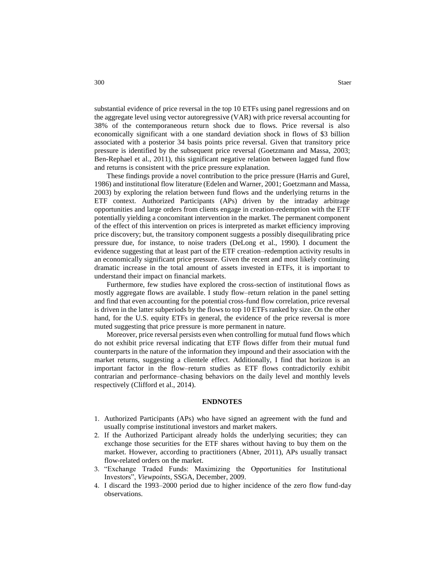substantial evidence of price reversal in the top 10 ETFs using panel regressions and on the aggregate level using vector autoregressive (VAR) with price reversal accounting for 38% of the contemporaneous return shock due to flows. Price reversal is also economically significant with a one standard deviation shock in flows of \$3 billion associated with a posterior 34 basis points price reversal. Given that transitory price pressure is identified by the subsequent price reversal (Goetzmann and Massa, [2003;](#page-28-6) Ben-Rephael et al., [2011\)](#page-27-1), this significant negative relation between lagged fund flow and returns is consistent with the price pressure explanation.

These findings provide a novel contribution to the price pressure (Harris and Gurel, [1986\)](#page-28-4) and institutional flow literature (Edelen and Warner, 2001; Goetzmann and Massa, [2003\)](#page-28-6) by exploring the relation between fund flows and the underlying returns in the ETF context. Authorized Participants (APs) driven by the intraday arbitrage opportunities and large orders from clients engage in creation-redemption with the ETF potentially yielding a concomitant intervention in the market. The permanent component of the effect of this intervention on prices is interpreted as market efficiency improving price discovery; but, the transitory component suggests a possibly disequilibrating price pressure due, for instance, to noise traders (DeLong et al., 1990). I document the evidence suggesting that at least part of the ETF creation–redemption activity results in an economically significant price pressure. Given the recent and most likely continuing dramatic increase in the total amount of assets invested in ETFs, it is important to understand their impact on financial markets.

Furthermore, few studies have explored the cross-section of institutional flows as mostly aggregate flows are available. I study flow–return relation in the panel setting and find that even accounting for the potential cross-fund flow correlation, price reversal is driven in the latter subperiods by the flows to top 10 ETFs ranked by size. On the other hand, for the U.S. equity ETFs in general, the evidence of the price reversal is more muted suggesting that price pressure is more permanent in nature.

Moreover, price reversal persists even when controlling for mutual fund flows which do not exhibit price reversal indicating that ETF flows differ from their mutual fund counterparts in the nature of the information they impound and their association with the market returns, suggesting a clientele effect. Additionally, I find that horizon is an important factor in the flow–return studies as ETF flows contradictorily exhibit contrarian and performance–chasing behaviors on the daily level and monthly levels respectively (Clifford et al., 2014).

#### **ENDNOTES**

- 1. Authorized Participants (APs) who have signed an agreement with the fund and usually comprise institutional investors and market makers.
- 2. If the Authorized Participant already holds the underlying securities; they can exchange those securities for the ETF shares without having to buy them on the market. However, according to practitioners (Abner, [2011\)](#page-26-1), APs usually transact flow-related orders on the market.
- 3. "Exchange Traded Funds: Maximizing the Opportunities for Institutional Investors", *Viewpoints*, SSGA, December, 2009.
- 4. I discard the 1993–2000 period due to higher incidence of the zero flow fund-day observations.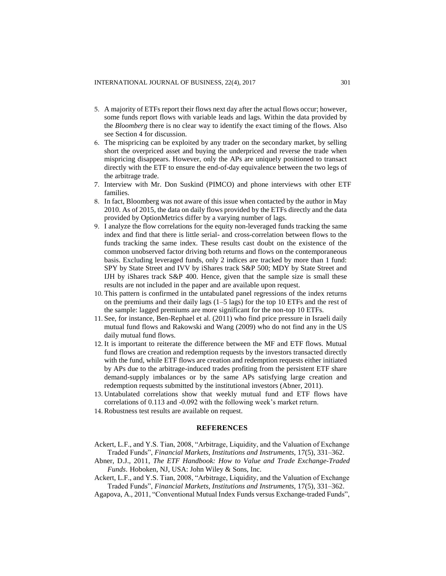- 5. A majority of ETFs report their flows next day after the actual flows occur; however, some funds report flows with variable leads and lags. Within the data provided by the *Bloomberg* there is no clear way to identify the exact timing of the flows. Also see Section [4](#page-6-2) for discussion.
- 6. The mispricing can be exploited by any trader on the secondary market, by selling short the overpriced asset and buying the underpriced and reverse the trade when mispricing disappears. However, only the APs are uniquely positioned to transact directly with the ETF to ensure the end-of-day equivalence between the two legs of the arbitrage trade.
- 7. Interview with Mr. Don Suskind (PIMCO) and phone interviews with other ETF families.
- 8. In fact, Bloomberg was not aware of this issue when contacted by the author in May 2010. As of 2015, the data on daily flows provided by the ETFs directly and the data provided by OptionMetrics differ by a varying number of lags.
- 9. I analyze the flow correlations for the equity non-leveraged funds tracking the same index and find that there is little serial- and cross-correlation between flows to the funds tracking the same index. These results cast doubt on the existence of the common unobserved factor driving both returns and flows on the contemporaneous basis. Excluding leveraged funds, only 2 indices are tracked by more than 1 fund: SPY by State Street and IVV by iShares track S&P 500; MDY by State Street and IJH by iShares track S&P 400. Hence, given that the sample size is small these results are not included in the paper and are available upon request.
- 10. This pattern is confirmed in the untabulated panel regressions of the index returns on the premiums and their daily lags (1–5 lags) for the top 10 ETFs and the rest of the sample: lagged premiums are more significant for the non-top 10 ETFs.
- 11. See, for instance, Ben-Rephael et al. [\(2011\)](#page-27-1) who find price pressure in Israeli daily mutual fund flows and Rakowski and Wang [\(2009\)](#page-28-7) who do not find any in the US daily mutual fund flows.
- 12. It is important to reiterate the difference between the MF and ETF flows. Mutual fund flows are creation and redemption requests by the investors transacted directly with the fund, while ETF flows are creation and redemption requests either initiated by APs due to the arbitrage-induced trades profiting from the persistent ETF share demand-supply imbalances or by the same APs satisfying large creation and redemption requests submitted by the institutional investors (Abner, [2011\)](#page-26-1).
- 13. Untabulated correlations show that weekly mutual fund and ETF flows have correlations of 0.113 and -0.092 with the following week's market return.
- 14. Robustness test results are available on request.

# <span id="page-26-0"></span>**REFERENCES**

Ackert, L.F., and Y.S. Tian, 2008, "Arbitrage, Liquidity, and the Valuation of Exchange Traded Funds", *Financial Markets, Institutions and Instruments,* 17(5), 331–362.

<span id="page-26-1"></span>Abner, D.J., 2011, *The ETF Handbook: How to Value and Trade Exchange-Traded Funds*. Hoboken, NJ, USA: John Wiley & Sons, Inc.

Ackert, L.F., and Y.S. Tian, 2008, "Arbitrage, Liquidity, and the Valuation of Exchange Traded Funds", *Financial Markets, Institutions and Instruments*, 17(5), 331–362.

Agapova, A., 2011, "Conventional Mutual Index Funds versus Exchange-traded Funds",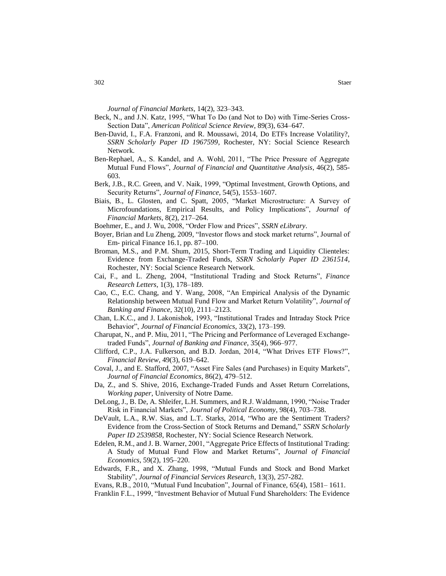<span id="page-27-2"></span>*Journal of Financial Markets*, 14(2), 323–343.

- Beck, N., and J.N. Katz, 1995, "What To Do (and Not to Do) with Time-Series Cross-Section Data", *American Political Science Review*, 89(3), 634–647.
- Ben-David, I., F.A. Franzoni, and R. Moussawi, 2014, Do ETFs Increase Volatility?, *SSRN Scholarly Paper ID 1967599*, Rochester, NY: Social Science Research Network.
- <span id="page-27-1"></span>Ben-Rephael, A., S. Kandel, and A. Wohl, 2011, "The Price Pressure of Aggregate Mutual Fund Flows", *Journal of Financial and Quantitative Analysis*, 46(2), 585- 603.
- <span id="page-27-5"></span>Berk, J.B., R.C. Green, and V. Naik, 1999, "Optimal Investment, Growth Options, and Security Returns", *Journal of Finance*, 54(5), 1553–1607.
- Biais, B., L. Glosten, and C. Spatt, 2005, "Market Microstructure: A Survey of Microfoundations, Empirical Results, and Policy Implications", *Journal of Financial Markets*, 8(2), 217–264.
- <span id="page-27-7"></span>Boehmer, E., and J. Wu, 2008, "Order Flow and Prices", *SSRN eLibrary*.
- <span id="page-27-11"></span><span id="page-27-9"></span>Boyer, Brian and Lu Zheng, 2009, "Investor flows and stock market returns", Journal of Em- pirical Finance 16.1, pp. 87–100.
- Broman, M.S., and P.M. Shum, 2015, Short-Term Trading and Liquidity Clienteles: Evidence from Exchange-Traded Funds, *SSRN Scholarly Paper ID 2361514*, Rochester, NY: Social Science Research Network.
- <span id="page-27-8"></span>Cai, F., and L. Zheng, 2004, "Institutional Trading and Stock Returns", *Finance Research Letters*, 1(3), 178–189.
- <span id="page-27-12"></span>Cao, C., E.C. Chang, and Y. Wang, 2008, "An Empirical Analysis of the Dynamic Relationship between Mutual Fund Flow and Market Return Volatility", *Journal of Banking and Finance*, 32(10), 2111–2123.
- <span id="page-27-13"></span><span id="page-27-3"></span>Chan, L.K.C., and J. Lakonishok, 1993, "Institutional Trades and Intraday Stock Price Behavior", *Journal of Financial Economics*, 33(2), 173–199.
- Charupat, N., and P. Miu, 2011, "The Pricing and Performance of Leveraged Exchangetraded Funds", *Journal of Banking and Finance*, 35(4), 966–977.
- <span id="page-27-0"></span>Clifford, C.P., J.A. Fulkerson, and B.D. Jordan, 2014, "What Drives ETF Flows?", *Financial Review*, 49(3), 619–642.
- <span id="page-27-6"></span>Coval, J., and E. Stafford, 2007, "Asset Fire Sales (and Purchases) in Equity Markets", *Journal of Financial Economics*, 86(2), 479–512.
- Da, Z., and S. Shive, 2016, Exchange-Traded Funds and Asset Return Correlations, *Working paper*, University of Notre Dame.
- <span id="page-27-15"></span>DeLong, J., B. De, A. Shleifer, L.H. Summers, and R.J. Waldmann, 1990, "Noise Trader Risk in Financial Markets", *Journal of Political Economy*, 98(4), 703–738.
- DeVault, L.A., R.W. Sias, and L.T. Starks, 2014, "Who are the Sentiment Traders? Evidence from the Cross-Section of Stock Returns and Demand," *SSRN Scholarly Paper ID 2539858*, Rochester, NY: Social Science Research Network.
- Edelen, R.M., and J. B. Warner, 2001, "Aggregate Price Effects of Institutional Trading: A Study of Mutual Fund Flow and Market Returns", *Journal of Financial Economics*, 59(2), 195–220.
- <span id="page-27-14"></span><span id="page-27-4"></span>Edwards, F.R., and X. Zhang, 1998, "Mutual Funds and Stock and Bond Market Stability", *Journal of Financial Services Research*, 13(3), 257-282.
- <span id="page-27-10"></span>Evans, R.B., 2010, "Mutual Fund Incubation", Journal of Finance, 65(4), 1581– 1611.
- Franklin F.L., 1999, "Investment Behavior of Mutual Fund Shareholders: The Evidence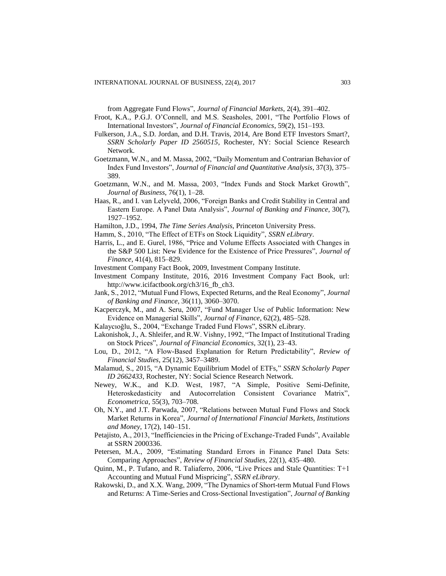<span id="page-28-19"></span><span id="page-28-8"></span><span id="page-28-6"></span><span id="page-28-0"></span>from Aggregate Fund Flows", *Journal of Financial Markets*, 2(4), 391–402.

- Froot, K.A., P.G.J. O'Connell, and M.S. Seasholes, 2001, "The Portfolio Flows of International Investors", *Journal of Financial Economics*, 59(2), 151–193.
- Fulkerson, J.A., S.D. Jordan, and D.H. Travis, 2014, Are Bond ETF Investors Smart?, *SSRN Scholarly Paper ID 2560515*, Rochester, NY: Social Science Research Network.
- Goetzmann, W.N., and M. Massa, 2002, "Daily Momentum and Contrarian Behavior of Index Fund Investors", *Journal of Financial and Quantitative Analysis*, 37(3), 375– 389.
- Goetzmann, W.N., and M. Massa, 2003, "Index Funds and Stock Market Growth", *Journal of Business*, 76(1), 1–28.
- <span id="page-28-20"></span><span id="page-28-16"></span>Haas, R., and I. van Lelyveld, 2006, "Foreign Banks and Credit Stability in Central and Eastern Europe. A Panel Data Analysis", *Journal of Banking and Finance*, 30(7), 1927–1952.
- <span id="page-28-11"></span><span id="page-28-4"></span>Hamilton, J.D., 1994, *The Time Series Analysis*, Princeton University Press.
- Hamm, S., 2010, "The Effect of ETFs on Stock Liquidity", *SSRN eLibrary*.
- Harris, L., and E. Gurel, 1986, "Price and Volume Effects Associated with Changes in the S&P 500 List: New Evidence for the Existence of Price Pressures", *Journal of Finance*, 41(4), 815–829.
- <span id="page-28-14"></span><span id="page-28-3"></span>Investment Company Fact Book, 2009, Investment Company Institute.
- Investment Company Institute, 2016, 2016 Investment Company Fact Book, url: [http://www.icifactbook.org/ch3/16\\_fb\\_ch3.](http://www.icifactbook.org/ch3/16_fb_ch3)
- <span id="page-28-17"></span><span id="page-28-13"></span>Jank, S., 2012, "Mutual Fund Flows, Expected Returns, and the Real Economy", *Journal of Banking and Finance*, 36(11), 3060–3070.
- <span id="page-28-1"></span>Kacperczyk, M., and A. Seru, 2007, "Fund Manager Use of Public Information: New Evidence on Managerial Skills", *Journal of Finance*, 62(2), 485–528.
- <span id="page-28-5"></span>Kalaycıoğlu, S., 2004, "Exchange Traded Fund Flows", SSRN eLibrary.
- <span id="page-28-10"></span>Lakonishok, J., A. Shleifer, and R.W. Vishny, 1992, "The Impact of Institutional Trading on Stock Prices", *Journal of Financial Economics*, 32(1), 23–43.
- <span id="page-28-12"></span>Lou, D., 2012, "A Flow-Based Explanation for Return Predictability", *Review of Financial Studies*, 25(12), 3457–3489.
- Malamud, S., 2015, "A Dynamic Equilibrium Model of ETFs," *SSRN Scholarly Paper ID 2662433*, Rochester, NY: Social Science Research Network.
- <span id="page-28-21"></span><span id="page-28-9"></span>Newey, W.K., and K.D. West, 1987, "A Simple, Positive Semi-Definite, Heteroskedasticity and Autocorrelation Consistent Covariance Matrix", *Econometrica*, 55(3), 703–708.
- Oh, N.Y., and J.T. Parwada, 2007, "Relations between Mutual Fund Flows and Stock Market Returns in Korea", *Journal of International Financial Markets, Institutions and Money*, 17(2), 140–151.
- <span id="page-28-18"></span><span id="page-28-15"></span>Petajisto, A., 2013, "Inefficiencies in the Pricing of Exchange-Traded Funds", Available at SSRN 2000336.
- <span id="page-28-2"></span>Petersen, M.A., 2009, "Estimating Standard Errors in Finance Panel Data Sets: Comparing Approaches", *Review of Financial Studies*, 22(1), 435–480.
- <span id="page-28-7"></span>Quinn, M., P. Tufano, and R. Taliaferro, 2006, "Live Prices and Stale Quantities: T+1 Accounting and Mutual Fund Mispricing", *SSRN eLibrary*.
- Rakowski, D., and X.X. Wang, 2009, "The Dynamics of Short-term Mutual Fund Flows and Returns: A Time-Series and Cross-Sectional Investigation", *Journal of Banking*